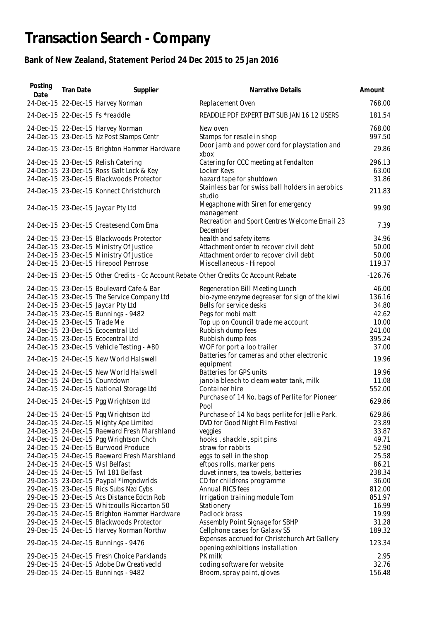## **Transaction Search - Company**

## **Bank of New Zealand, Statement Period 24 Dec 2015 to 25 Jan 2016**

| Posting<br>Date | <b>Tran Date</b>             | Supplier                                                                              | Narrative Details                                                         | Amount          |
|-----------------|------------------------------|---------------------------------------------------------------------------------------|---------------------------------------------------------------------------|-----------------|
|                 |                              | 24-Dec-15 22-Dec-15 Harvey Norman                                                     | Replacement Oven                                                          | 768.00          |
|                 |                              | 24-Dec-15 22-Dec-15 Fs *readdle                                                       | READDLE PDF EXPERT ENT SUB JAN 16 12 USERS                                | 181.54          |
|                 |                              | 24-Dec-15 22-Dec-15 Harvey Norman                                                     | New oven                                                                  | 768.00          |
|                 |                              | 24-Dec-15 23-Dec-15 Nz Post Stamps Centr                                              | Stamps for resale in shop<br>Door jamb and power cord for playstation and | 997.50          |
|                 |                              | 24-Dec-15 23-Dec-15 Brighton Hammer Hardware                                          | xbox                                                                      | 29.86           |
|                 |                              | 24-Dec-15 23-Dec-15 Relish Catering                                                   | Catering for CCC meeting at Fendalton                                     | 296.13          |
|                 |                              | 24-Dec-15 23-Dec-15 Ross Galt Lock & Key<br>24-Dec-15 23-Dec-15 Blackwoods Protector  | Locker Keys<br>hazard tape for shutdown                                   | 63.00<br>31.86  |
|                 |                              | 24-Dec-15 23-Dec-15 Konnect Christchurch                                              | Stainless bar for swiss ball holders in aerobics<br>studio                | 211.83          |
|                 |                              | 24-Dec-15 23-Dec-15 Jaycar Pty Ltd                                                    | Megaphone with Siren for emergency<br>management                          | 99.90           |
|                 |                              | 24-Dec-15 23-Dec-15 Createsend.Com Ema                                                | Recreation and Sport Centres Welcome Email 23<br>December                 | 7.39            |
|                 |                              | 24-Dec-15 23-Dec-15 Blackwoods Protector                                              | health and safety items                                                   | 34.96           |
|                 |                              | 24-Dec-15 23-Dec-15 Ministry Of Justice                                               | Attachment order to recover civil debt                                    | 50.00           |
|                 |                              | 24-Dec-15 23-Dec-15 Ministry Of Justice<br>24-Dec-15 23-Dec-15 Hirepool Penrose       | Attachment order to recover civil debt<br>Miscellaneous - Hirepool        | 50.00<br>119.37 |
|                 |                              | 24-Dec-15 23-Dec-15 Other Credits - Cc Account Rebate Other Credits Cc Account Rebate |                                                                           | $-126.76$       |
|                 |                              | 24-Dec-15 23-Dec-15 Boulevard Cafe & Bar                                              | Regeneration Bill Meeting Lunch                                           | 46.00           |
|                 |                              | 24-Dec-15 23-Dec-15 The Service Company Ltd                                           | bio-zyme enzyme degreaser for sign of the kiwi                            | 136.16          |
|                 |                              | 24-Dec-15 23-Dec-15 Jaycar Pty Ltd                                                    | Bells for service desks                                                   | 34.80           |
|                 |                              | 24-Dec-15 23-Dec-15 Bunnings - 9482                                                   | Pegs for mobi matt                                                        | 42.62           |
|                 | 24-Dec-15 23-Dec-15 Trade Me |                                                                                       | Top up on Council trade me account                                        | 10.00           |
|                 |                              | 24-Dec-15 23-Dec-15 Ecocentral Ltd                                                    | Rubbish dump fees                                                         | 241.00          |
|                 |                              | 24-Dec-15 23-Dec-15 Ecocentral Ltd                                                    | Rubbish dump fees                                                         | 395.24          |
|                 |                              | 24-Dec-15 23-Dec-15 Vehicle Testing - #80                                             | WOF for port a loo trailer                                                | 37.00           |
|                 |                              | 24-Dec-15 24-Dec-15 New World Halswell                                                | Batteries for cameras and other electronic<br>equipment                   | 19.96           |
|                 |                              | 24-Dec-15 24-Dec-15 New World Halswell                                                | Batteries for GPS units                                                   | 19.96           |
|                 |                              | 24-Dec-15 24-Dec-15 Countdown                                                         | janola bleach to cleam water tank, milk                                   | 11.08           |
|                 |                              | 24-Dec-15 24-Dec-15 National Storage Ltd                                              | Container hire                                                            | 552.00          |
|                 |                              | 24-Dec-15 24-Dec-15 Pgg Wrightson Ltd                                                 | Purchase of 14 No. bags of Perlite for Pioneer<br>Pool                    | 629.86          |
|                 |                              | 24-Dec-15 24-Dec-15 Pgg Wrightson Ltd                                                 | Purchase of 14 No bags perlite for Jellie Park.                           | 629.86          |
|                 |                              | 24-Dec-15 24-Dec-15 Mighty Ape Limited                                                | DVD for Good Night Film Festival                                          | 23.89           |
|                 |                              | 24-Dec-15 24-Dec-15 Raeward Fresh Marshland                                           | veggies                                                                   | 33.87           |
|                 |                              | 24-Dec-15 24-Dec-15 Pgg Wrightson Chch                                                | hooks, shackle, spit pins                                                 | 49.71           |
|                 |                              | 24-Dec-15 24-Dec-15 Burwood Produce                                                   | straw for rabbits                                                         | 52.90           |
|                 |                              | 24-Dec-15 24-Dec-15 Raeward Fresh Marshland                                           | eggs to sell in the shop                                                  | 25.58           |
|                 |                              | 24-Dec-15 24-Dec-15 Wsl Belfast<br>24-Dec-15 24-Dec-15 Twl 181 Belfast                | eftpos rolls, marker pens                                                 | 86.21<br>238.34 |
|                 |                              |                                                                                       | duvet inners, tea towels, batteries<br>CD for childrens programme         | 36.00           |
|                 |                              | 29-Dec-15 23-Dec-15 Paypal *imgndwrlds<br>29-Dec-15 23-Dec-15 Rics Subs Nzd Cybs      | Annual RICS fees                                                          | 812.00          |
|                 |                              | 29-Dec-15 23-Dec-15 Acs Distance Edctn Rob                                            | Irrigation training module Tom                                            | 851.97          |
|                 |                              | 29-Dec-15 23-Dec-15 Whitcoulls Riccarton 50                                           | Stationery                                                                | 16.99           |
|                 |                              | 29-Dec-15 24-Dec-15 Brighton Hammer Hardware                                          | Padlock brass                                                             | 19.99           |
|                 |                              | 29-Dec-15 24-Dec-15 Blackwoods Protector                                              | Assembly Point Signage for SBHP                                           | 31.28           |
|                 |                              | 29-Dec-15 24-Dec-15 Harvey Norman Northw                                              | Cellphone cases for Galaxy S5                                             | 189.32          |
|                 |                              |                                                                                       | Expenses accrued for Christchurch Art Gallery                             |                 |
|                 |                              | 29-Dec-15 24-Dec-15 Bunnings - 9476                                                   | opening exhibitions installation                                          | 123.34          |
|                 |                              | 29-Dec-15 24-Dec-15 Fresh Choice Parklands                                            | PK milk                                                                   | 2.95            |
|                 |                              | 29-Dec-15 24-Dec-15 Adobe Dw CreativecId                                              | coding software for website                                               | 32.76           |
|                 |                              | 29-Dec-15 24-Dec-15 Bunnings - 9482                                                   | Broom, spray paint, gloves                                                | 156.48          |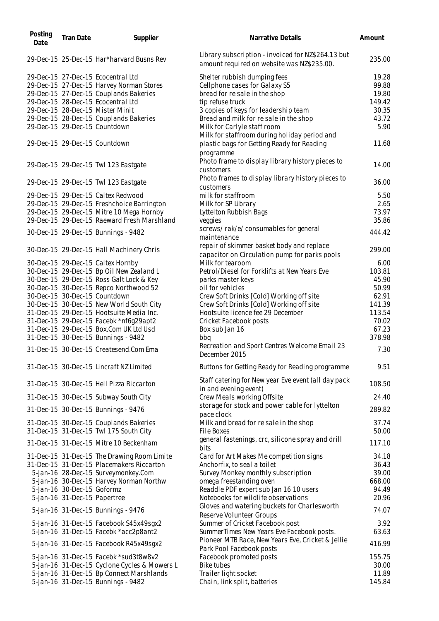| Posting<br>Date | <b>Tran Date</b>             | Supplier                                                                        | Narrative Details                                                                                | Amount           |
|-----------------|------------------------------|---------------------------------------------------------------------------------|--------------------------------------------------------------------------------------------------|------------------|
|                 |                              | 29-Dec-15 25-Dec-15 Har*harvard Busns Rev                                       | Library subscription - invoiced for NZ\$264.13 but<br>amount required on website was NZ\$235.00. | 235.00           |
|                 |                              | 29-Dec-15 27-Dec-15 Ecocentral Ltd                                              | Shelter rubbish dumping fees                                                                     | 19.28            |
|                 |                              | 29-Dec-15 27-Dec-15 Harvey Norman Stores                                        | Cellphone cases for Galaxy S5                                                                    | 99.88            |
|                 |                              | 29-Dec-15 27-Dec-15 Couplands Bakeries                                          | bread for re sale in the shop                                                                    | 19.80            |
|                 |                              | 29-Dec-15 28-Dec-15 Ecocentral Ltd                                              | tip refuse truck                                                                                 | 149.42           |
|                 |                              | 29-Dec-15 28-Dec-15 Mister Minit                                                | 3 copies of keys for leadership team                                                             | 30.35            |
|                 |                              | 29-Dec-15 28-Dec-15 Couplands Bakeries                                          | Bread and milk for resale in the shop                                                            | 43.72            |
|                 |                              |                                                                                 |                                                                                                  |                  |
|                 |                              | 29-Dec-15 29-Dec-15 Countdown                                                   | Milk for Carlyle staff room<br>Milk for staffroom during holiday period and                      | 5.90             |
|                 |                              | 29-Dec-15 29-Dec-15 Countdown                                                   | plastic bags for Getting Ready for Reading<br>programme                                          | 11.68            |
|                 |                              | 29-Dec-15 29-Dec-15 Twl 123 Eastgate                                            | Photo frame to display library history pieces to<br>customers                                    | 14.00            |
|                 |                              | 29-Dec-15 29-Dec-15 Twl 123 Eastgate                                            | Photo frames to display library history pieces to<br>customers                                   | 36.00            |
|                 |                              | 29-Dec-15 29-Dec-15 Caltex Redwood                                              | milk for staffroom                                                                               | 5.50             |
|                 |                              | 29-Dec-15 29-Dec-15 Freshchoice Barrington                                      | Milk for SP Library                                                                              | 2.65             |
|                 |                              | 29-Dec-15 29-Dec-15 Mitre 10 Mega Hornby                                        | Lyttelton Rubbish Bags                                                                           | 73.97            |
|                 |                              | 29-Dec-15 29-Dec-15 Raeward Fresh Marshland                                     | veggies                                                                                          | 35.86            |
|                 |                              | 30-Dec-15 29-Dec-15 Bunnings - 9482                                             | screws/rak/e/consumables for general<br>maintenance                                              | 444.42           |
|                 |                              | 30-Dec-15 29-Dec-15 Hall Machinery Chris                                        | repair of skimmer basket body and replace<br>capacitor on Circulation pump for parks pools       | 299.00           |
|                 |                              | 30-Dec-15 29-Dec-15 Caltex Hornby                                               | Milk for tearoom                                                                                 | 6.00             |
|                 |                              | 30-Dec-15 29-Dec-15 Bp Oil New Zealand L                                        | Petrol/Diesel for Forklifts at New Years Eve                                                     | 103.81           |
|                 |                              | 30-Dec-15 29-Dec-15 Ross Galt Lock & Key                                        | parks master keys                                                                                | 45.90            |
|                 |                              |                                                                                 | oil for vehicles                                                                                 | 50.99            |
|                 |                              | 30-Dec-15 30-Dec-15 Repco Northwood 52                                          |                                                                                                  |                  |
|                 |                              | 30-Dec-15 30-Dec-15 Countdown                                                   | Crew Soft Drinks [Cold] Working off site                                                         | 62.91            |
|                 |                              | 30-Dec-15 30-Dec-15 New World South City                                        | Crew Soft Drinks [Cold] Working off site                                                         | 141.39           |
|                 |                              | 31-Dec-15 29-Dec-15 Hootsuite Media Inc.                                        | Hootsuite licence fee 29 December                                                                | 113.54           |
|                 |                              | 31-Dec-15 29-Dec-15 Facebk *nf6q29apt2                                          | Cricket Facebook posts                                                                           | 70.02            |
|                 |                              | 31-Dec-15 29-Dec-15 Box.Com UK Ltd Usd                                          | Box sub Jan 16                                                                                   | 67.23            |
|                 |                              | 31-Dec-15 30-Dec-15 Bunnings - 9482                                             | bbq                                                                                              | 378.98           |
|                 |                              | 31-Dec-15 30-Dec-15 Createsend.Com Ema                                          | Recreation and Sport Centres Welcome Email 23<br>December 2015                                   | 7.30             |
|                 |                              | 31-Dec-15 30-Dec-15 Lincraft NZ Limited                                         | Buttons for Getting Ready for Reading programme                                                  | 9.51             |
|                 |                              | 31-Dec-15 30-Dec-15 Hell Pizza Riccarton                                        | Staff catering for New year Eve event (all day pack<br>in and evening event)                     | 108.50           |
|                 |                              | 31-Dec-15 30-Dec-15 Subway South City                                           | Crew Meals working Offsite                                                                       | 24.40            |
|                 |                              | 31-Dec-15 30-Dec-15 Bunnings - 9476                                             | storage for stock and power cable for lyttelton<br>pace clock                                    | 289.82           |
|                 |                              | 31-Dec-15 30-Dec-15 Couplands Bakeries                                          | Milk and bread for resale in the shop                                                            | 37.74            |
|                 |                              | 31-Dec-15 31-Dec-15 Twl 175 South City                                          | File Boxes                                                                                       | 50.00            |
|                 |                              | 31-Dec-15 31-Dec-15 Mitre 10 Beckenham                                          | general fastenings, crc, silicone spray and drill<br>bits                                        | 117.10           |
|                 |                              | 31-Dec-15 31-Dec-15 The Drawing Room Limite                                     | Card for Art Makes Me competition signs                                                          | 34.18            |
|                 |                              |                                                                                 |                                                                                                  |                  |
|                 |                              | 31-Dec-15 31-Dec-15 Placemakers Riccarton                                       | Anchorfix, to seal a toilet                                                                      | 36.43            |
|                 |                              | 5-Jan-16 28-Dec-15 Surveymonkey.Com                                             | Survey Monkey monthly subscription                                                               | 39.00            |
|                 |                              | 5-Jan-16 30-Dec-15 Harvey Norman Northw                                         | omega freestanding oven                                                                          | 668.00           |
|                 | 5-Jan-16 30-Dec-15 Goformz   |                                                                                 | Readdle PDF expert sub Jan 16 10 users                                                           | 94.49            |
|                 | 5-Jan-16 31-Dec-15 Papertree |                                                                                 | Notebooks for wildlife observations                                                              | 20.96            |
|                 |                              | 5-Jan-16 31-Dec-15 Bunnings - 9476                                              | Gloves and watering buckets for Charlesworth<br>Reserve Volunteer Groups                         | 74.07            |
|                 |                              | 5-Jan-16 31-Dec-15 Facebook S45x49sgx2                                          | Summer of Cricket Facebook post                                                                  | 3.92             |
|                 |                              | 5-Jan-16 31-Dec-15 Facebk *acc2p8ant2                                           | SummerTimes New Years Eve Facebook posts.                                                        | 63.63            |
|                 |                              |                                                                                 | Pioneer MTB Race, New Years Eve, Cricket & Jellie                                                |                  |
|                 |                              | 5-Jan-16 31-Dec-15 Facebook R45x49sgx2<br>5-Jan-16 31-Dec-15 Facebk *sud3t8w8v2 | Park Pool Facebook posts                                                                         | 416.99<br>155.75 |
|                 |                              |                                                                                 | Facebook promoted posts<br><b>Bike tubes</b>                                                     | 30.00            |
|                 |                              | 5-Jan-16 31-Dec-15 Cyclone Cycles & Mowers L                                    |                                                                                                  | 11.89            |
|                 |                              | 5-Jan-16 31-Dec-15 Bp Connect Marshlands                                        | Trailer light socket                                                                             |                  |
|                 |                              | 5-Jan-16 31-Dec-15 Bunnings - 9482                                              | Chain, link split, batteries                                                                     | 145.84           |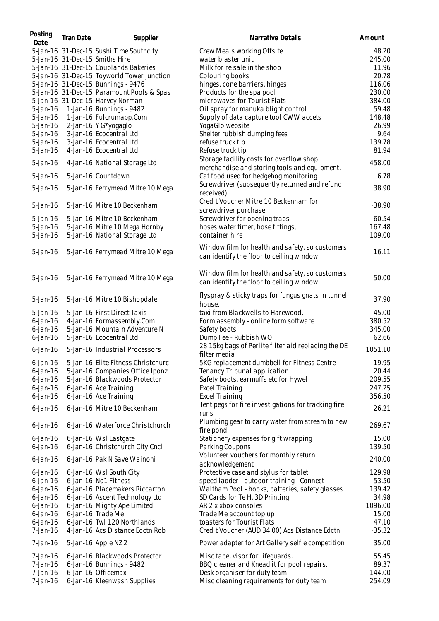| Posting<br>Date | <b>Tran Date</b> | Supplier                                   | Narrative Details                                                                           | Amount   |
|-----------------|------------------|--------------------------------------------|---------------------------------------------------------------------------------------------|----------|
|                 |                  | 5-Jan-16 31-Dec-15 Sushi Time Southcity    | Crew Meals working Offsite                                                                  | 48.20    |
|                 |                  | 5-Jan-16 31-Dec-15 Smiths Hire             | water blaster unit                                                                          | 245.00   |
|                 |                  | 5-Jan-16 31-Dec-15 Couplands Bakeries      | Milk for re sale in the shop                                                                | 11.96    |
|                 |                  | 5-Jan-16 31-Dec-15 Toyworld Tower Junction | Colouring books                                                                             | 20.78    |
|                 |                  | 5-Jan-16 31-Dec-15 Bunnings - 9476         | hinges, cone barriers, hinges                                                               | 116.06   |
|                 |                  | 5-Jan-16 31-Dec-15 Paramount Pools & Spas  | Products for the spa pool                                                                   | 230.00   |
|                 |                  | 5-Jan-16 31-Dec-15 Harvey Norman           | microwaves for Tourist Flats                                                                | 384.00   |
|                 |                  | 5-Jan-16 1-Jan-16 Bunnings - 9482          | Oil spray for manuka blight control                                                         | 59.48    |
| $5$ -Jan-16     |                  | 1-Jan-16 Fulcrumapp.Com                    | Supply of data capture tool CWW accets                                                      | 148.48   |
| $5$ -Jan-16     |                  | 2-Jan-16 Y G*yogaglo                       | YogaGlo website                                                                             | 26.99    |
| $5$ -Jan-16     |                  | 3-Jan-16 Ecocentral Ltd                    | Shelter rubbish dumping fees                                                                | 9.64     |
| $5$ -Jan-16     |                  | 3-Jan-16 Ecocentral Ltd                    | refuse truck tip                                                                            | 139.78   |
| $5$ -Jan-16     |                  | 4-Jan-16 Ecocentral Ltd                    | Refuse truck tip                                                                            | 81.94    |
| $5$ -Jan-16     |                  | 4-Jan-16 National Storage Ltd              | Storage facility costs for overflow shop<br>merchandise and storing tools and equipment.    | 458.00   |
| $5$ -Jan-16     |                  | 5-Jan-16 Countdown                         | Cat food used for hedgehog monitoring                                                       | 6.78     |
| $5$ -Jan-16     |                  | 5-Jan-16 Ferrymead Mitre 10 Mega           | Screwdriver (subsequently returned and refund<br>received)                                  | 38.90    |
| $5$ -Jan-16     |                  | 5-Jan-16 Mitre 10 Beckenham                | Credit Voucher Mitre 10 Beckenham for                                                       | $-38.90$ |
|                 |                  |                                            | screwdriver purchase                                                                        |          |
| $5$ -Jan-16     |                  | 5-Jan-16 Mitre 10 Beckenham                | Screwdriver for opening traps                                                               | 60.54    |
| $5$ -Jan-16     |                  | 5-Jan-16 Mitre 10 Mega Hornby              | hoses, water timer, hose fittings,                                                          | 167.48   |
| 5-Jan-16        |                  | 5-Jan-16 National Storage Ltd              | container hire                                                                              | 109.00   |
|                 |                  |                                            | Window film for health and safety, so customers                                             |          |
| $5$ -Jan-16     |                  | 5-Jan-16 Ferrymead Mitre 10 Mega           | can identify the floor to ceiling window                                                    | 16.11    |
| $5$ -Jan-16     |                  | 5-Jan-16 Ferrymead Mitre 10 Mega           | Window film for health and safety, so customers<br>can identify the floor to ceiling window | 50.00    |
| $5$ -Jan-16     |                  | 5-Jan-16 Mitre 10 Bishopdale               | flyspray & sticky traps for fungus gnats in tunnel<br>house.                                | 37.90    |
| $5$ -Jan-16     |                  | 5-Jan-16 First Direct Taxis                | taxi from Blackwells to Harewood,                                                           | 45.00    |
| $6$ -Jan-16     |                  | 4-Jan-16 Formassembly.Com                  | Form assembly - online form software                                                        | 380.52   |
| $6$ -Jan-16     |                  | 5-Jan-16 Mountain Adventure N              | Safety boots                                                                                | 345.00   |
| $6$ -Jan-16     |                  | 5-Jan-16 Ecocentral Ltd                    | Dump Fee - Rubbish WO                                                                       | 62.66    |
| $6$ -Jan-16     |                  | 5-Jan-16 Industrial Processors             | 28 15kg bags of Perlite filter aid replacing the DE<br>filter media                         | 1051.10  |
| $6$ -Jan-16     |                  | 5-Jan-16 Elite Fitness Christchurc         | 5KG replacement dumbbell for Fitness Centre                                                 | 19.95    |
| $6$ -Jan-16     |                  | 5-Jan-16 Companies Office Iponz            | Tenancy Tribunal application                                                                | 20.44    |
| $6$ -Jan-16     |                  | 5-Jan-16 Blackwoods Protector              | Safety boots, earmuffs etc for Hywel                                                        | 209.55   |
| $6$ -Jan-16     |                  | 6-Jan-16 Ace Training                      | <b>Excel Training</b>                                                                       | 247.25   |
| $6$ -Jan-16     |                  | 6-Jan-16 Ace Training                      | <b>Excel Training</b>                                                                       | 356.50   |
| $6$ -Jan-16     |                  | 6-Jan-16 Mitre 10 Beckenham                | Tent pegs for fire investigations for tracking fire<br>runs                                 | 26.21    |
| $6$ -Jan-16     |                  | 6-Jan-16 Waterforce Christchurch           | Plumbing gear to carry water from stream to new<br>fire pond                                | 269.67   |
| $6$ -Jan-16     |                  | 6-Jan-16 Wsl Eastgate                      | Stationery expenses for gift wrapping                                                       | 15.00    |
| $6$ -Jan-16     |                  | 6-Jan-16 Christchurch City Cncl            | Parking Coupons                                                                             | 139.50   |
| $6$ -Jan-16     |                  | 6-Jan-16 Pak N Save Wainoni                | Volunteer vouchers for monthly return<br>acknowledgement                                    | 240.00   |
| $6$ -Jan-16     |                  | 6-Jan-16 Wsl South City                    | Protective case and stylus for tablet                                                       | 129.98   |
| $6$ -Jan-16     |                  | 6-Jan-16 No1 Fitness                       | speed ladder - outdoor training - Connect                                                   | 53.50    |
| $6$ -Jan-16     |                  | 6-Jan-16 Placemakers Riccarton             | Waltham Pool - hooks, batteries, safety glasses                                             | 139.42   |
| $6$ -Jan-16     |                  | 6-Jan-16 Ascent Technology Ltd             | SD Cards for Te H. 3D Printing                                                              | 34.98    |
| $6$ -Jan-16     |                  | 6-Jan-16 Mighty Ape Limited                | AR 2 x xbox consoles                                                                        | 1096.00  |
| $6$ -Jan-16     |                  | 6-Jan-16 Trade Me                          | Trade Me account top up                                                                     | 15.00    |
| $6$ -Jan-16     |                  | 6-Jan-16 Twl 120 Northlands                | toasters for Tourist Flats                                                                  | 47.10    |
| 7-Jan-16        |                  | 4-Jan-16 Acs Distance Edctn Rob            | Credit Voucher (AUD 34.00) Acs Distance Edctn                                               | $-35.32$ |
| 7-Jan-16        |                  | 5-Jan-16 Apple NZ 2                        | Power adapter for Art Gallery selfie competition                                            | 35.00    |
| 7-Jan-16        |                  | 6-Jan-16 Blackwoods Protector              | Misc tape, visor for lifeguards.                                                            | 55.45    |
| 7-Jan-16        |                  | 6-Jan-16 Bunnings - 9482                   | BBQ cleaner and Knead it for pool repairs.                                                  | 89.37    |
| 7-Jan-16        |                  | 6-Jan-16 Officemax                         | Desk organiser for duty team                                                                | 144.00   |
| 7-Jan-16        |                  | 6-Jan-16 Kleenwash Supplies                | Misc cleaning requirements for duty team                                                    | 254.09   |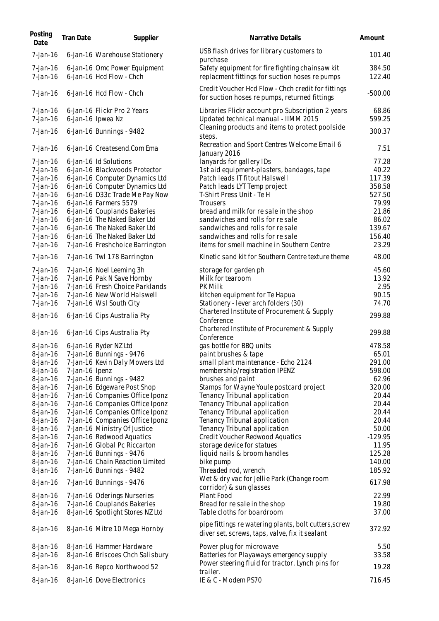| Posting<br>Date      | <b>Tran Date</b> | Supplier                                                       | Narrative Details                                                                                       | Amount          |
|----------------------|------------------|----------------------------------------------------------------|---------------------------------------------------------------------------------------------------------|-----------------|
| $7$ -Jan-16          |                  | 6-Jan-16 Warehouse Stationery                                  | USB flash drives for library customers to<br>purchase                                                   | 101.40          |
| 7-Jan-16             |                  | 6-Jan-16 Omc Power Equipment                                   | Safety equipment for fire fighting chainsaw kit                                                         | 384.50          |
| $7$ -Jan-16          |                  | 6-Jan-16 Hcd Flow - Chch                                       | replacment fittings for suction hoses re pumps                                                          | 122.40          |
| $7$ -Jan-16          |                  | 6-Jan-16 Hcd Flow - Chch                                       | Credit Voucher Hcd Flow - Chch credit for fittings<br>for suction hoses re pumps, returned fittings     | $-500.00$       |
| 7-Jan-16<br>7-Jan-16 |                  | 6-Jan-16 Flickr Pro 2 Years<br>6-Jan-16 Ipwea Nz               | Libraries Flickr account pro Subscription 2 years<br>Updated technical manual - IIMM 2015               | 68.86<br>599.25 |
| $7$ -Jan-16          |                  | 6-Jan-16 Bunnings - 9482                                       | Cleaning products and items to protect poolside<br>steps.                                               | 300.37          |
| 7-Jan-16             |                  | 6-Jan-16 Createsend.Com Ema                                    | Recreation and Sport Centres Welcome Email 6<br>January 2016                                            | 7.51            |
| $7$ -Jan-16          |                  | 6-Jan-16 Id Solutions                                          | lanyards for gallery IDs                                                                                | 77.28           |
| $7$ -Jan-16          |                  | 6-Jan-16 Blackwoods Protector                                  | 1st aid equipment-plasters, bandages, tape                                                              | 40.22           |
| $7$ -Jan-16          |                  | 6-Jan-16 Computer Dynamics Ltd                                 | Patch leads IT fitout Halswell                                                                          | 117.39          |
| 7-Jan-16             |                  | 6-Jan-16 Computer Dynamics Ltd                                 | Patch leads LYT Temp project                                                                            | 358.58          |
| 7-Jan-16             |                  | 6-Jan-16 D33c Trade Me Pay Now                                 | T-Shirt Press Unit - Te H                                                                               | 527.50          |
| 7-Jan-16             |                  | 6-Jan-16 Farmers 5579                                          | Trousers                                                                                                | 79.99           |
| $7$ -Jan-16          |                  | 6-Jan-16 Couplands Bakeries                                    | bread and milk for resale in the shop                                                                   | 21.86           |
| 7-Jan-16             |                  | 6-Jan-16 The Naked Baker Ltd                                   | sandwiches and rolls for resale                                                                         | 86.02           |
| 7-Jan-16             |                  | 6-Jan-16 The Naked Baker Ltd                                   | sandwiches and rolls for resale                                                                         | 139.67          |
| $7$ -Jan-16          |                  | 6-Jan-16 The Naked Baker Ltd                                   | sandwiches and rolls for resale                                                                         | 156.40          |
| 7-Jan-16<br>7-Jan-16 |                  | 7-Jan-16 Freshchoice Barrington<br>7-Jan-16 Twl 178 Barrington | items for smell machine in Southern Centre<br>Kinetic sand kit for Southern Centre texture theme        | 23.29<br>48.00  |
|                      |                  |                                                                |                                                                                                         |                 |
| 7-Jan-16             |                  | 7-Jan-16 Noel Leeming 3h                                       | storage for garden ph                                                                                   | 45.60           |
| 7-Jan-16             |                  | 7-Jan-16 Pak N Save Hornby                                     | Milk for tearoom                                                                                        | 13.92           |
| 7-Jan-16             |                  | 7-Jan-16 Fresh Choice Parklands                                | PK Milk                                                                                                 | 2.95            |
| 7-Jan-16             |                  | 7-Jan-16 New World Halswell                                    | kitchen equipment for Te Hapua                                                                          | 90.15           |
| $7$ -Jan-16          |                  | 7-Jan-16 Wsl South City                                        | Stationery - lever arch folders (30)                                                                    | 74.70           |
| 8-Jan-16             |                  | 6-Jan-16 Cips Australia Pty                                    | Chartered Institute of Procurement & Supply<br>Conference                                               | 299.88          |
| 8-Jan-16             |                  | 6-Jan-16 Cips Australia Pty                                    | Chartered Institute of Procurement & Supply<br>Conference                                               | 299.88          |
| 8-Jan-16             |                  | 6-Jan-16 Ryder NZ Ltd                                          | gas bottle for BBQ units                                                                                | 478.58          |
| 8-Jan-16             |                  | 7-Jan-16 Bunnings - 9476                                       | paint brushes & tape                                                                                    | 65.01           |
| 8-Jan-16             |                  | 7-Jan-16 Kevin Daly Mowers Ltd                                 | small plant maintenance - Echo 2124                                                                     | 291.00          |
| 8-Jan-16             | 7-Jan-16 Ipenz   |                                                                | membership/registration IPENZ                                                                           | 598.00          |
| 8-Jan-16             |                  | 7-Jan-16 Bunnings - 9482                                       | brushes and paint                                                                                       | 62.96           |
| 8-Jan-16             |                  | 7-Jan-16 Edgeware Post Shop                                    | Stamps for Wayne Youle postcard project                                                                 | 320.00          |
| 8-Jan-16             |                  | 7-Jan-16 Companies Office Iponz                                | Tenancy Tribunal application                                                                            | 20.44           |
| 8-Jan-16             |                  | 7-Jan-16 Companies Office Iponz                                | Tenancy Tribunal application                                                                            | 20.44           |
| 8-Jan-16             |                  | 7-Jan-16 Companies Office Iponz                                | Tenancy Tribunal application                                                                            | 20.44           |
| 8-Jan-16             |                  | 7-Jan-16 Companies Office Iponz                                | Tenancy Tribunal application                                                                            | 20.44           |
| 8-Jan-16             |                  | 7-Jan-16 Ministry Of Justice                                   | Tenancy Tribunal application                                                                            | 50.00           |
| 8-Jan-16             |                  | 7-Jan-16 Redwood Aquatics                                      | Credit Voucher Redwood Aquatics                                                                         | $-129.95$       |
| 8-Jan-16             |                  | 7-Jan-16 Global Pc Riccarton                                   | storage device for statues                                                                              | 11.95           |
| 8-Jan-16             |                  | 7-Jan-16 Bunnings - 9476                                       | liquid nails & broom handles                                                                            | 125.28          |
| 8-Jan-16             |                  | 7-Jan-16 Chain Reaction Limited                                | bike pump                                                                                               | 140.00          |
| 8-Jan-16             |                  | 7-Jan-16 Bunnings - 9482                                       | Threaded rod, wrench<br>Wet & dry vac for Jellie Park (Change room                                      | 185.92          |
| 8-Jan-16             |                  | 7-Jan-16 Bunnings - 9476                                       | corridor) & sun glasses                                                                                 | 617.98          |
| 8-Jan-16             |                  | 7-Jan-16 Oderings Nurseries                                    | Plant Food                                                                                              | 22.99           |
| 8-Jan-16             |                  | 7-Jan-16 Couplands Bakeries                                    | Bread for re sale in the shop                                                                           | 19.80           |
| 8-Jan-16             |                  | 8-Jan-16 Spotlight Stores NZ Ltd                               | Table cloths for boardroom                                                                              | 37.00           |
| 8-Jan-16             |                  | 8-Jan-16 Mitre 10 Mega Hornby                                  | pipe fittings re watering plants, bolt cutters, screw<br>diver set, screws, taps, valve, fix it sealant | 372.92          |
| 8-Jan-16             |                  | 8-Jan-16 Hammer Hardware                                       | Power plug for microwave                                                                                | 5.50            |
| 8-Jan-16             |                  | 8-Jan-16 Briscoes Chch Salisbury                               | Batteries for Playaways emergency supply                                                                | 33.58           |
| 8-Jan-16             |                  | 8-Jan-16 Repco Northwood 52                                    | Power steering fluid for tractor. Lynch pins for<br>trailer.                                            | 19.28           |
| 8-Jan-16             |                  | 8-Jan-16 Dove Electronics                                      | IE & C - Modem PS70                                                                                     | 716.45          |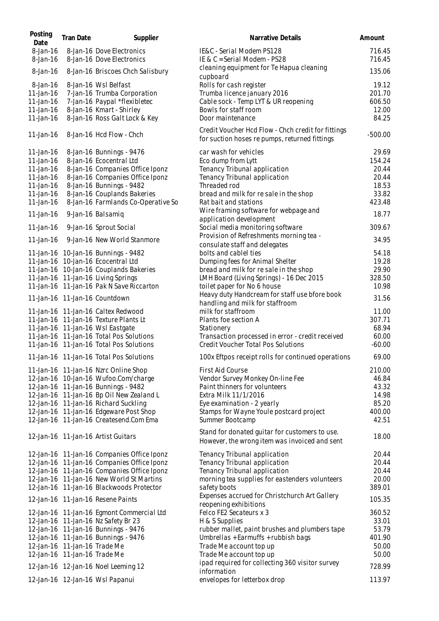| Posting                 | <b>Tran Date</b>             | Supplier                                                                       | Narrative Details                                                                                   | Amount           |
|-------------------------|------------------------------|--------------------------------------------------------------------------------|-----------------------------------------------------------------------------------------------------|------------------|
| Date<br>8-Jan-16        |                              | 8-Jan-16 Dove Electronics                                                      | IE&C - Serial Modem PS128                                                                           | 716.45           |
| $8$ -Jan-16<br>8-Jan-16 |                              | 8-Jan-16 Dove Electronics<br>8-Jan-16 Briscoes Chch Salisbury                  | IE & C = Serial Modem - PS28<br>cleaning equipment for Te Hapua cleaning                            | 716.45<br>135.06 |
| $8$ -Jan-16             |                              | 8-Jan-16 Wsl Belfast                                                           | cupboard<br>Rolls for cash register                                                                 | 19.12            |
| 11-Jan-16               |                              | 7-Jan-16 Trumba Corporation                                                    | Trumba licence january 2016                                                                         | 201.70           |
| 11-Jan-16               |                              | 7-Jan-16 Paypal *flexibletec                                                   | Cable sock - Temp LYT & UR reopening                                                                | 606.50           |
| 11-Jan-16               |                              | 8-Jan-16 Kmart - Shirley                                                       | Bowls for staff room                                                                                | 12.00            |
| 11-Jan-16               |                              | 8-Jan-16 Ross Galt Lock & Key                                                  | Door maintenance                                                                                    | 84.25            |
|                         |                              |                                                                                |                                                                                                     |                  |
| 11-Jan-16               |                              | 8-Jan-16 Hcd Flow - Chch                                                       | Credit Voucher Hcd Flow - Chch credit for fittings<br>for suction hoses re pumps, returned fittings | $-500.00$        |
| 11-Jan-16               |                              | 8-Jan-16 Bunnings - 9476                                                       | car wash for vehicles                                                                               | 29.69            |
| 11-Jan-16               |                              | 8-Jan-16 Ecocentral Ltd                                                        | Eco dump from Lytt                                                                                  | 154.24           |
| 11-Jan-16               |                              | 8-Jan-16 Companies Office Iponz                                                | Tenancy Tribunal application                                                                        | 20.44            |
| 11-Jan-16               |                              | 8-Jan-16 Companies Office Iponz                                                | Tenancy Tribunal application                                                                        | 20.44            |
| 11-Jan-16               |                              | 8-Jan-16 Bunnings - 9482                                                       | Threaded rod                                                                                        | 18.53            |
| 11-Jan-16               |                              | 8-Jan-16 Couplands Bakeries                                                    | bread and milk for re sale in the shop                                                              | 33.82            |
| 11-Jan-16               |                              | 8-Jan-16 Farmlands Co-Operative So                                             | Rat bait and stations                                                                               | 423.48           |
| 11-Jan-16               |                              | 9-Jan-16 Balsamiq                                                              | Wire framing software for webpage and                                                               | 18.77            |
|                         |                              |                                                                                | application development                                                                             |                  |
| 11-Jan-16               |                              | 9-Jan-16 Sprout Social                                                         | Social media monitoring software                                                                    | 309.67           |
| 11-Jan-16               |                              | 9-Jan-16 New World Stanmore                                                    | Provision of Refreshments morning tea -                                                             | 34.95            |
|                         |                              |                                                                                | consulate staff and delegates                                                                       |                  |
|                         |                              | 11-Jan-16 10-Jan-16 Bunnings - 9482                                            | bolts and cablel ties                                                                               | 54.18            |
|                         |                              | 11-Jan-16 10-Jan-16 Ecocentral Ltd                                             | Dumping fees for Animal Shelter                                                                     | 19.28            |
|                         |                              | 11-Jan-16 10-Jan-16 Couplands Bakeries                                         | bread and milk for re sale in the shop                                                              | 29.90            |
|                         |                              | 11-Jan-16 11-Jan-16 Living Springs<br>11-Jan-16 11-Jan-16 Pak N Save Riccarton | LMH Board (Living Springs) - 16 Dec 2015                                                            | 328.50<br>10.98  |
|                         |                              |                                                                                | toilet paper for No 6 house<br>Heavy duty Handcream for staff use bfore book                        |                  |
|                         |                              | 11-Jan-16 11-Jan-16 Countdown                                                  | handling and milk for staffroom                                                                     | 31.56            |
|                         |                              | 11-Jan-16 11-Jan-16 Caltex Redwood                                             | milk for staffroom                                                                                  | 11.00            |
|                         |                              | 11-Jan-16 11-Jan-16 Texture Plants Lt                                          | Plants foe section A                                                                                | 307.71           |
|                         |                              | 11-Jan-16 11-Jan-16 Wsl Eastgate                                               | Stationery                                                                                          | 68.94            |
|                         |                              | 11-Jan-16 11-Jan-16 Total Pos Solutions                                        | Transaction processed in error - credit received                                                    | 60.00            |
|                         |                              | 11-Jan-16 11-Jan-16 Total Pos Solutions                                        | <b>Credit Voucher Total Pos Solutions</b>                                                           | $-60.00$         |
|                         |                              | 11-Jan-16 11-Jan-16 Total Pos Solutions                                        | 100x Eftpos receipt rolls for continued operations                                                  | 69.00            |
|                         |                              | 11-Jan-16 11-Jan-16 Nzrc Online Shop                                           | First Aid Course                                                                                    | 210.00           |
|                         |                              | 12-Jan-16 10-Jan-16 Wufoo.Com/charge                                           | Vendor Survey Monkey On-line Fee                                                                    | 46.84            |
|                         |                              | 12-Jan-16 11-Jan-16 Bunnings - 9482                                            | Paint thinners for volunteers                                                                       | 43.32            |
|                         |                              | 12-Jan-16 11-Jan-16 Bp Oil New Zealand L                                       | Extra Milk 11/1/2016                                                                                | 14.98            |
|                         |                              | 12-Jan-16 11-Jan-16 Richard Suckling                                           | Eye examination - 2 yearly                                                                          | 85.20            |
|                         |                              | 12-Jan-16 11-Jan-16 Edgeware Post Shop                                         | Stamps for Wayne Youle postcard project                                                             | 400.00           |
|                         |                              | 12-Jan-16 11-Jan-16 Createsend.Com Ema                                         | Summer Bootcamp                                                                                     | 42.51            |
|                         |                              | 12-Jan-16 11-Jan-16 Artist Guitars                                             | Stand for donated guitar for customers to use.<br>However, the wrong item was invoiced and sent     | 18.00            |
|                         |                              | 12-Jan-16 11-Jan-16 Companies Office Iponz                                     | Tenancy Tribunal application                                                                        | 20.44            |
|                         |                              | 12-Jan-16 11-Jan-16 Companies Office Iponz                                     | Tenancy Tribunal application                                                                        | 20.44            |
|                         |                              | 12-Jan-16 11-Jan-16 Companies Office Iponz                                     | Tenancy Tribunal application                                                                        | 20.44            |
|                         |                              | 12-Jan-16 11-Jan-16 New World St Martins                                       | morning tea supplies for eastenders volunteers                                                      | 20.00            |
|                         |                              | 12-Jan-16 11-Jan-16 Blackwoods Protector                                       | safety boots                                                                                        | 389.01           |
|                         |                              | 12-Jan-16 11-Jan-16 Resene Paints                                              | Expenses accrued for Christchurch Art Gallery                                                       | 105.35           |
|                         |                              | 12-Jan-16 11-Jan-16 Egmont Commercial Ltd                                      | reopening exhibitions<br>Felco FE2 Secateurs x 3                                                    | 360.52           |
|                         |                              | 12-Jan-16 11-Jan-16 Nz Safety Br 23                                            | H & S Supplies                                                                                      | 33.01            |
|                         |                              | 12-Jan-16 11-Jan-16 Bunnings - 9476                                            | rubber mallet, paint brushes and plumbers tape                                                      | 53.79            |
|                         |                              | 12-Jan-16 11-Jan-16 Bunnings - 9476                                            | Umbrellas + Earmuffs + rubbish bags                                                                 | 401.90           |
|                         | 12-Jan-16 11-Jan-16 Trade Me |                                                                                | Trade Me account top up                                                                             | 50.00            |
|                         | 12-Jan-16 11-Jan-16 Trade Me |                                                                                | Trade Me account top up                                                                             | 50.00            |
|                         |                              |                                                                                | ipad required for collecting 360 visitor survey                                                     |                  |
|                         |                              | 12-Jan-16 12-Jan-16 Noel Leeming 12                                            | information                                                                                         | 728.99           |
|                         |                              | 12-Jan-16 12-Jan-16 Wsl Papanui                                                | envelopes for letterbox drop                                                                        | 113.97           |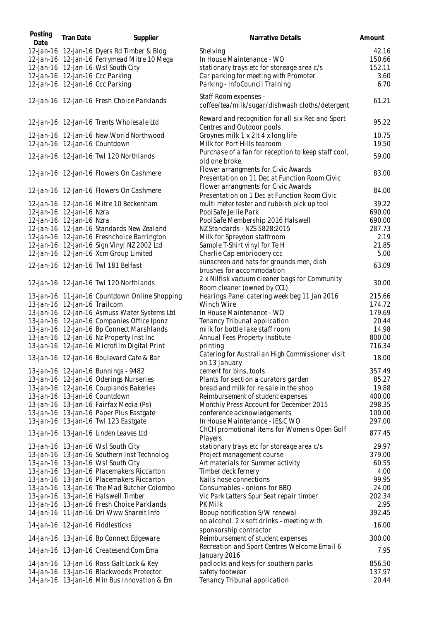| Posting<br>Date              | <b>Tran Date</b> | Supplier                                                                 | Narrative Details                                                                    | Amount         |
|------------------------------|------------------|--------------------------------------------------------------------------|--------------------------------------------------------------------------------------|----------------|
|                              |                  | 12-Jan-16 12-Jan-16 Dyers Rd Timber & Bldg                               | Shelving                                                                             | 42.16          |
|                              |                  | 12-Jan-16 12-Jan-16 Ferrymead Mitre 10 Mega                              | In House Maintenance - WO                                                            | 150.66         |
|                              |                  | 12-Jan-16 12-Jan-16 Wsl South City                                       | stationary trays etc for storeage area c/s                                           | 152.11         |
|                              |                  | 12-Jan-16 12-Jan-16 Ccc Parking                                          | Car parking for meeting with Promoter                                                | 3.60           |
|                              |                  | 12-Jan-16 12-Jan-16 Ccc Parking                                          | Parking - InfoCouncil Training                                                       | 6.70           |
|                              |                  | 12-Jan-16 12-Jan-16 Fresh Choice Parklands                               | Staff Room expenses -<br>coffee/tea/milk/sugar/dishwash cloths/detergent             | 61.21          |
|                              |                  | 12-Jan-16 12-Jan-16 Trents Wholesale Ltd                                 | Reward and recognition for all six Rec and Sport<br>Centres and Outdoor pools.       | 95.22          |
|                              |                  | 12-Jan-16 12-Jan-16 New World Northwood<br>12-Jan-16 12-Jan-16 Countdown | Groynes milk 1 x 2lt 4 x long life<br>Milk for Port Hills tearoom                    | 10.75<br>19.50 |
|                              |                  | 12-Jan-16 12-Jan-16 Twl 120 Northlands                                   | Purchase of a fan for reception to keep staff cool,<br>old one broke.                | 59.00          |
|                              |                  | 12-Jan-16 12-Jan-16 Flowers On Cashmere                                  | Flower arrangments for Civic Awards<br>Presentation on 11 Dec at Function Room Civic | 83.00          |
|                              |                  | 12-Jan-16 12-Jan-16 Flowers On Cashmere                                  | Flower arrangments for Civic Awards<br>Presentation on 1 Dec at Function Room Civic  | 84.00          |
|                              |                  | 12-Jan-16 12-Jan-16 Mitre 10 Beckenham                                   | multi meter tester and rubbish pick up tool                                          | 39.22          |
| 12-Jan-16 12-Jan-16 Nzra     |                  |                                                                          | PoolSafe Jellie Park                                                                 | 690.00         |
| 12-Jan-16 12-Jan-16 Nzra     |                  |                                                                          | PoolSafe Membership 2016 Halswell                                                    | 690.00         |
|                              |                  | 12-Jan-16 12-Jan-16 Standards New Zealand                                | NZ Standards - NZS 5828:2015                                                         | 287.73         |
|                              |                  | 12-Jan-16 12-Jan-16 Freshchoice Barrington                               | Milk for Spreydon staffroom                                                          | 2.19           |
|                              |                  | 12-Jan-16 12-Jan-16 Sign Vinyl NZ 2002 Ltd                               | Sample T-Shirt vinyl for Te H                                                        | 21.85          |
|                              |                  | 12-Jan-16 12-Jan-16 Xcm Group Limited                                    | Charlie Cap embriodery ccc                                                           | 5.00           |
|                              |                  | 12-Jan-16 12-Jan-16 Twl 181 Belfast                                      | sunscreen and hats for grounds men, dish<br>brushes for accommodation                | 63.09          |
|                              |                  | 12-Jan-16 12-Jan-16 Twl 120 Northlands                                   | 2 x Nilfisk vacuum cleaner bags for Community<br>Room cleaner (owned by CCL)         | 30.00          |
|                              |                  | 13-Jan-16 11-Jan-16 Countdown Online Shopping                            | Hearings Panel catering week beg 11 Jan 2016                                         | 215.66         |
| 13-Jan-16 12-Jan-16 Trailcom |                  |                                                                          | Winch Wire                                                                           | 174.72         |
|                              |                  | 13-Jan-16 12-Jan-16 Asmuss Water Systems Ltd                             | In House Maintenance - WO                                                            | 179.69         |
|                              |                  | 13-Jan-16 12-Jan-16 Companies Office Iponz                               | Tenancy Tribunal application                                                         | 20.44          |
|                              |                  | 13-Jan-16 12-Jan-16 Bp Connect Marshlands                                | milk for bottle lake staff room                                                      | 14.98          |
|                              |                  | 13-Jan-16 12-Jan-16 Nz Property Inst Inc                                 | Annual Fees Property Institute                                                       | 800.00         |
|                              |                  | 13-Jan-16 12-Jan-16 Microfilm Digital Print                              | printing                                                                             | 716.34         |
|                              |                  | 13-Jan-16 12-Jan-16 Boulevard Cafe & Bar                                 | Catering for Australian High Commissioner visit<br>on 13 January                     | 18.00          |
|                              |                  | 13-Jan-16 12-Jan-16 Bunnings - 9482                                      | cement for bins, tools                                                               | 357.49         |
|                              |                  | 13-Jan-16 12-Jan-16 Oderings Nurseries                                   | Plants for section a curators garden                                                 | 85.27          |
|                              |                  | 13-Jan-16 12-Jan-16 Couplands Bakeries                                   | bread and milk for re sale in the shop                                               | 19.88          |
|                              |                  | 13-Jan-16 13-Jan-16 Countdown                                            | Reimbursement of student expenses                                                    | 400.00         |
|                              |                  | 13-Jan-16 13-Jan-16 Fairfax Media (Ps)                                   | Monthly Press Account for December 2015                                              | 298.35         |
|                              |                  | 13-Jan-16 13-Jan-16 Paper Plus Eastgate                                  | conference acknowledgements                                                          | 100.00         |
|                              |                  | 13-Jan-16 13-Jan-16 Twl 123 Eastgate                                     | In House Maintenance - IE&C WO                                                       | 297.00         |
|                              |                  | 13-Jan-16 13-Jan-16 Linden Leaves Ltd                                    | CHCH promotional items for Women's Open Golf<br>Players                              | 877.45         |
|                              |                  | 13-Jan-16 13-Jan-16 Wsl South City                                       | stationary trays etc for storeage area c/s                                           | 29.97          |
|                              |                  | 13-Jan-16 13-Jan-16 Southern Inst Technolog                              | Project management course                                                            | 379.00         |
|                              |                  | 13-Jan-16 13-Jan-16 Wsl South City                                       | Art materials for Summer activity                                                    | 60.55          |
|                              |                  | 13-Jan-16 13-Jan-16 Placemakers Riccarton                                | Timber deck fernery                                                                  | 4.00           |
|                              |                  | 13-Jan-16 13-Jan-16 Placemakers Riccarton                                | Nails hose connections                                                               | 99.95          |
|                              |                  | 13-Jan-16 13-Jan-16 The Mad Butcher Colombo                              | Consumables - onions for BBQ                                                         | 24.00          |
|                              |                  | 13-Jan-16 13-Jan-16 Halswell Timber                                      | Vic Park Latters Spur Seat repair timber                                             | 202.34         |
|                              |                  | 13-Jan-16 13-Jan-16 Fresh Choice Parklands                               | PK Milk                                                                              | 2.95           |
|                              |                  | 14-Jan-16 11-Jan-16 Dri Www Shareit Info                                 | Bopup notification S/W renewal                                                       | 392.45         |
|                              |                  | 14-Jan-16 12-Jan-16 Fiddlesticks                                         | no alcohol. 2 x soft drinks - meeting with<br>sponsorship contractor                 | 16.00          |
|                              |                  | 14-Jan-16 13-Jan-16 Bp Connect Edgeware                                  | Reimbursement of student expenses                                                    | 300.00         |
|                              |                  | 14-Jan-16 13-Jan-16 Createsend.Com Ema                                   | Recreation and Sport Centres Welcome Email 6<br>January 2016                         | 7.95           |
|                              |                  | 14-Jan-16 13-Jan-16 Ross Galt Lock & Key                                 | padlocks and keys for southern parks                                                 | 856.50         |
|                              |                  | 14-Jan-16 13-Jan-16 Blackwoods Protector                                 | safety footwear                                                                      | 137.97         |
|                              |                  | 14-Jan-16 13-Jan-16 Min Bus Innovation & Em                              | Tenancy Tribunal application                                                         | 20.44          |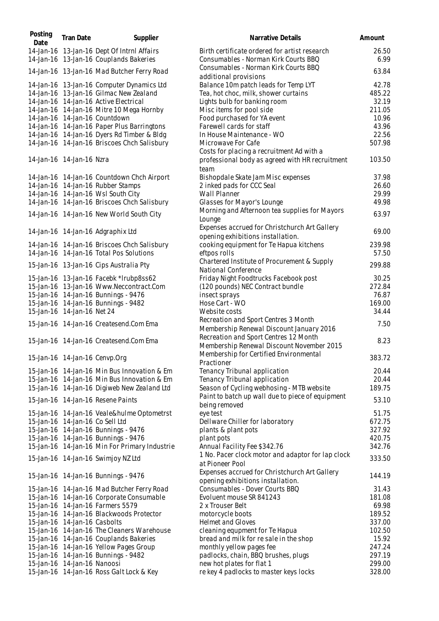| Posting<br>Date              | <b>Tran Date</b> | Supplier                                                                             | Narrative Details                                                                     | Amount           |
|------------------------------|------------------|--------------------------------------------------------------------------------------|---------------------------------------------------------------------------------------|------------------|
|                              |                  | 14-Jan-16 13-Jan-16 Dept Of Intrnl Affairs<br>14-Jan-16 13-Jan-16 Couplands Bakeries | Birth certificate ordered for artist research<br>Consumables - Norman Kirk Courts BBQ | 26.50<br>6.99    |
|                              |                  | 14-Jan-16 13-Jan-16 Mad Butcher Ferry Road                                           | Consumables - Norman Kirk Courts BBQ<br>additional provisions                         | 63.84            |
|                              |                  | 14-Jan-16 13-Jan-16 Computer Dynamics Ltd                                            | Balance 10m patch leads for Temp LYT                                                  | 42.78            |
|                              |                  | 14-Jan-16 13-Jan-16 Gilmac New Zealand                                               | Tea, hot choc, milk, shower curtains                                                  | 485.22           |
|                              |                  | 14-Jan-16 14-Jan-16 Active Electrical                                                | Lights bulb for banking room                                                          | 32.19            |
|                              |                  | 14-Jan-16 14-Jan-16 Mitre 10 Mega Hornby                                             | Misc items for pool side                                                              | 211.05           |
|                              |                  | 14-Jan-16 14-Jan-16 Countdown                                                        | Food purchased for YA event                                                           | 10.96            |
|                              |                  | 14-Jan-16 14-Jan-16 Paper Plus Barringtons                                           | Farewell cards for staff                                                              | 43.96            |
|                              |                  | 14-Jan-16 14-Jan-16 Dyers Rd Timber & Bldg                                           | In House Maintenance - WO                                                             | 22.56            |
|                              |                  | 14-Jan-16 14-Jan-16 Briscoes Chch Salisbury                                          | Microwave For Cafe<br>Costs for placing a recruitment Ad with a                       | 507.98           |
| 14-Jan-16 14-Jan-16 Nzra     |                  |                                                                                      | professional body as agreed with HR recruitment<br>team                               | 103.50           |
|                              |                  | 14-Jan-16 14-Jan-16 Countdown Chch Airport                                           | Bishopdale Skate Jam Misc expenses                                                    | 37.98            |
|                              |                  | 14-Jan-16 14-Jan-16 Rubber Stamps                                                    | 2 inked pads for CCC Seal                                                             | 26.60            |
|                              |                  | 14-Jan-16 14-Jan-16 Wsl South City                                                   | Wall Planner                                                                          | 29.99            |
|                              |                  | 14-Jan-16 14-Jan-16 Briscoes Chch Salisbury                                          | Glasses for Mayor's Lounge                                                            | 49.98            |
|                              |                  |                                                                                      | Morning and Afternoon tea supplies for Mayors                                         |                  |
|                              |                  | 14-Jan-16 14-Jan-16 New World South City                                             | Lounge                                                                                | 63.97            |
|                              |                  | 14-Jan-16 14-Jan-16 Adgraphix Ltd                                                    | Expenses accrued for Christchurch Art Gallery<br>opening exhibitions installation.    | 69.00            |
|                              |                  | 14-Jan-16 14-Jan-16 Briscoes Chch Salisbury                                          | cooking equipment for Te Hapua kitchens                                               | 239.98           |
|                              |                  | 14-Jan-16 14-Jan-16 Total Pos Solutions                                              | eftpos rolls                                                                          | 57.50            |
|                              |                  | 15-Jan-16 13-Jan-16 Cips Australia Pty                                               | Chartered Institute of Procurement & Supply<br>National Conference                    | 299.88           |
|                              |                  | 15-Jan-16 13-Jan-16 Facebk *Irubp8ss62                                               | Friday Night Foodtrucks Facebook post                                                 | 30.25            |
|                              |                  | 15-Jan-16 13-Jan-16 Www.Neccontract.Com                                              | (120 pounds) NEC Contract bundle                                                      | 272.84           |
|                              |                  | 15-Jan-16 14-Jan-16 Bunnings - 9476                                                  | insect sprays                                                                         | 76.87            |
|                              |                  | 15-Jan-16 14-Jan-16 Bunnings - 9482                                                  | Hose Cart - WO                                                                        | 169.00           |
| 15-Jan-16 14-Jan-16 Net 24   |                  |                                                                                      | Website costs                                                                         | 34.44            |
|                              |                  |                                                                                      | Recreation and Sport Centres 3 Month                                                  |                  |
|                              |                  | 15-Jan-16 14-Jan-16 Createsend.Com Ema                                               | Membership Renewal Discount January 2016                                              | 7.50             |
|                              |                  | 15-Jan-16 14-Jan-16 Createsend.Com Ema                                               | Recreation and Sport Centres 12 Month<br>Membership Renewal Discount November 2015    | 8.23             |
|                              |                  | 15-Jan-16 14-Jan-16 Cenvp.Org                                                        | Membership for Certified Environmental<br>Practioner                                  | 383.72           |
|                              |                  | 15-Jan-16 14-Jan-16 Min Bus Innovation & Em                                          | Tenancy Tribunal application                                                          | 20.44            |
|                              |                  | 15-Jan-16 14-Jan-16 Min Bus Innovation & Em                                          | Tenancy Tribunal application                                                          | 20.44            |
|                              |                  | 15-Jan-16 14-Jan-16 Digiweb New Zealand Ltd                                          | Season of Cycling webhosing - MTB website                                             | 189.75           |
|                              |                  |                                                                                      | Paint to batch up wall due to piece of equipment                                      |                  |
|                              |                  | 15-Jan-16 14-Jan-16 Resene Paints                                                    | being removed                                                                         | 53.10            |
|                              |                  | 15-Jan-16 14-Jan-16 Veale&hulme Optometrst<br>15-Jan-16 14-Jan-16 Co Sell Ltd        | eye test                                                                              | 51.75            |
|                              |                  |                                                                                      | Dellware Chiller for laboratory                                                       | 672.75           |
|                              |                  | 15-Jan-16 14-Jan-16 Bunnings - 9476                                                  | plants & plant pots                                                                   | 327.92           |
|                              |                  | 15-Jan-16 14-Jan-16 Bunnings - 9476                                                  | plant pots                                                                            | 420.75           |
|                              |                  | 15-Jan-16 14-Jan-16 Min For Primary Industrie<br>15-Jan-16 14-Jan-16 Swimjoy NZ Ltd  | Annual Facility Fee \$342.76<br>1 No. Pacer clock motor and adaptor for lap clock     | 342.76<br>333.50 |
|                              |                  |                                                                                      | at Pioneer Pool<br>Expenses accrued for Christchurch Art Gallery                      |                  |
|                              |                  | 15-Jan-16 14-Jan-16 Bunnings - 9476                                                  | opening exhibitions installation.                                                     | 144.19           |
|                              |                  | 15-Jan-16 14-Jan-16 Mad Butcher Ferry Road                                           | Consumables - Dover Courts BBQ                                                        | 31.43            |
|                              |                  | 15-Jan-16 14-Jan-16 Corporate Consumable                                             | Evoluent mouse SR 841243                                                              | 181.08           |
|                              |                  | 15-Jan-16 14-Jan-16 Farmers 5579                                                     | 2 x Trouser Belt                                                                      | 69.98            |
|                              |                  | 15-Jan-16 14-Jan-16 Blackwoods Protector                                             | motorcycle boots                                                                      | 189.52           |
| 15-Jan-16 14-Jan-16 Casbolts |                  |                                                                                      | Helmet and Gloves                                                                     | 337.00           |
|                              |                  | 15-Jan-16 14-Jan-16 The Cleaners Warehouse                                           | cleaning equpment for Te Hapua                                                        | 102.50           |
|                              |                  | 15-Jan-16 14-Jan-16 Couplands Bakeries                                               | bread and milk for re sale in the shop                                                | 15.92            |
|                              |                  | 15-Jan-16 14-Jan-16 Yellow Pages Group                                               | monthly yellow pages fee                                                              | 247.24           |
|                              |                  | 15-Jan-16 14-Jan-16 Bunnings - 9482                                                  | padlocks, chain, BBQ brushes, plugs                                                   | 297.19           |
| 15-Jan-16 14-Jan-16 Nanoosi  |                  |                                                                                      | new hot plates for flat 1                                                             | 299.00           |
|                              |                  | 15-Jan-16 14-Jan-16 Ross Galt Lock & Key                                             | re key 4 padlocks to master keys locks                                                | 328.00           |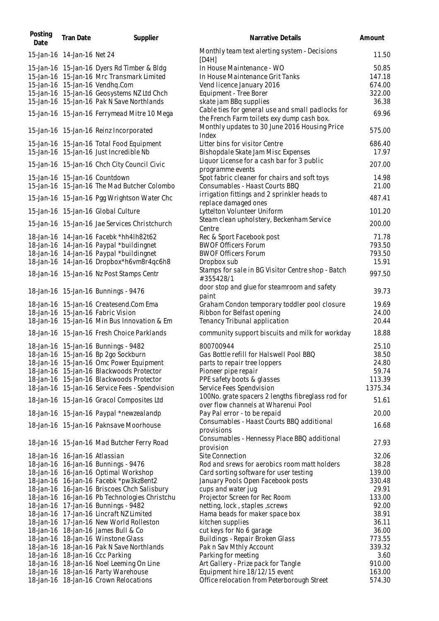| Posting<br>Date               | <b>Tran Date</b> | Supplier                                                                            | Narrative Details                                                                        | Amount           |
|-------------------------------|------------------|-------------------------------------------------------------------------------------|------------------------------------------------------------------------------------------|------------------|
| 15-Jan-16 14-Jan-16 Net 24    |                  |                                                                                     | Monthly team text alerting system - Decisions<br>[DAH]                                   | 11.50            |
|                               |                  | 15-Jan-16 15-Jan-16 Dyers Rd Timber & Bldg                                          | In House Maintenance - WO                                                                | 50.85            |
|                               |                  | 15-Jan-16 15-Jan-16 Mrc Transmark Limited                                           | In House Maintenance Grit Tanks                                                          | 147.18           |
|                               |                  | 15-Jan-16 15-Jan-16 Vendhq.Com                                                      | Vend licence January 2016                                                                | 674.00           |
|                               |                  | 15-Jan-16 15-Jan-16 Geosystems NZ Ltd Chch                                          | Equipment - Tree Borer                                                                   | 322.00           |
|                               |                  | 15-Jan-16 15-Jan-16 Pak N Save Northlands                                           | skate jam BBq supplies                                                                   | 36.38            |
|                               |                  |                                                                                     | Cable ties for general use and small padlocks for                                        |                  |
|                               |                  | 15-Jan-16 15-Jan-16 Ferrymead Mitre 10 Mega                                         | the French Farm toilets exy dump cash box.                                               | 69.96            |
|                               |                  | 15-Jan-16 15-Jan-16 Reinz Incorporated                                              | Monthly updates to 30 June 2016 Housing Price<br>Index                                   | 575.00           |
|                               |                  | 15-Jan-16 15-Jan-16 Total Food Equipment                                            | Litter bins for visitor Centre                                                           | 686.40           |
|                               |                  | 15-Jan-16 15-Jan-16 Just Incredible Nb                                              | Bishopdale Skate Jam Misc Expenses                                                       | 17.97            |
|                               |                  | 15-Jan-16 15-Jan-16 Chch City Council Civic                                         | Liquor License for a cash bar for 3 public                                               | 207.00           |
|                               |                  |                                                                                     | programme events                                                                         |                  |
|                               |                  | 15-Jan-16 15-Jan-16 Countdown                                                       | Spot fabric cleaner for chairs and soft toys                                             | 14.98            |
|                               |                  | 15-Jan-16 15-Jan-16 The Mad Butcher Colombo                                         | Consumables - Haast Courts BBQ                                                           | 21.00            |
|                               |                  | 15-Jan-16 15-Jan-16 Pgg Wrightson Water Chc                                         | irrigation fittings and 2 sprinkler heads to<br>replace damaged ones                     | 487.41           |
|                               |                  | 15-Jan-16 15-Jan-16 Global Culture                                                  | Lyttelton Volunteer Uniform                                                              | 101.20           |
|                               |                  | 15-Jan-16 15-Jan-16 Jae Services Christchurch                                       | Steam clean upholstery, Beckenham Service                                                | 200.00           |
|                               |                  | 18-Jan-16 14-Jan-16 Facebk *hh4lh82t62                                              | Centre                                                                                   | 71.78            |
|                               |                  |                                                                                     | Rec & Sport Facebook post                                                                |                  |
|                               |                  | 18-Jan-16 14-Jan-16 Paypal *buildingnet                                             | <b>BWOF Officers Forum</b><br><b>BWOF Officers Forum</b>                                 | 793.50<br>793.50 |
|                               |                  | 18-Jan-16 14-Jan-16 Paypal *buildingnet<br>18-Jan-16 14-Jan-16 Dropbox*h6vm8r4qc6h8 | Dropbox sub                                                                              | 15.91            |
|                               |                  |                                                                                     | Stamps for sale in BG Visitor Centre shop - Batch                                        | 997.50           |
|                               |                  | 18-Jan-16 15-Jan-16 Nz Post Stamps Centr                                            | #355428/1<br>door stop and glue for steamroom and safety                                 |                  |
|                               |                  | 18-Jan-16 15-Jan-16 Bunnings - 9476                                                 | paint                                                                                    | 39.73            |
|                               |                  | 18-Jan-16 15-Jan-16 Createsend.Com Ema                                              | Graham Condon temporary toddler pool closure                                             | 19.69            |
|                               |                  | 18-Jan-16 15-Jan-16 Fabric Vision                                                   | Ribbon for Belfast opening                                                               | 24.00            |
|                               |                  | 18-Jan-16 15-Jan-16 Min Bus Innovation & Em                                         | Tenancy Tribunal application                                                             | 20.44            |
|                               |                  | 18-Jan-16 15-Jan-16 Fresh Choice Parklands                                          | community support biscuits and milk for workday                                          | 18.88            |
|                               |                  | 18-Jan-16 15-Jan-16 Bunnings - 9482                                                 | 800700944                                                                                | 25.10            |
|                               |                  | 18-Jan-16 15-Jan-16 Bp 2go Sockburn                                                 | Gas Bottle refill for Halswell Pool BBQ                                                  | 38.50            |
|                               |                  | 18-Jan-16 15-Jan-16 Omc Power Equipment                                             | parts to repair tree loppers                                                             | 24.80            |
|                               |                  | 18-Jan-16 15-Jan-16 Blackwoods Protector                                            | Pioneer pipe repair                                                                      | 59.74            |
|                               |                  | 18-Jan-16 15-Jan-16 Blackwoods Protector                                            | PPE safety boots & glasses                                                               | 113.39           |
|                               |                  | 18-Jan-16 15-Jan-16 Service Fees - Spendvision                                      | Service Fees Spendvision                                                                 | 1375.34          |
|                               |                  | 18-Jan-16 15-Jan-16 Gracol Composites Ltd                                           | 100No. grate spacers 2 lengths fibreglass rod for<br>over flow channels at Wharenui Pool | 51.61            |
|                               |                  | 18-Jan-16 15-Jan-16 Paypal *newzealandp                                             | Pay Pal error - to be repaid                                                             | 20.00            |
|                               |                  | 18-Jan-16 15-Jan-16 Paknsave Moorhouse                                              | Consumables - Haast Courts BBQ additional                                                | 16.68            |
|                               |                  |                                                                                     | provisions<br>Consumables - Hennessy Place BBQ additional                                |                  |
|                               |                  | 18-Jan-16 15-Jan-16 Mad Butcher Ferry Road                                          | provision                                                                                | 27.93            |
| 18-Jan-16 16-Jan-16 Atlassian |                  |                                                                                     | Site Connection                                                                          | 32.06            |
|                               |                  | 18-Jan-16 16-Jan-16 Bunnings - 9476                                                 | Rod and srews for aerobics room matt holders                                             | 38.28            |
|                               |                  | 18-Jan-16 16-Jan-16 Optimal Workshop                                                | Card sorting software for user testing                                                   | 139.00           |
|                               |                  | 18-Jan-16 16-Jan-16 Facebk *pw3kz8ent2                                              | January Pools Open Facebook posts                                                        | 330.48           |
|                               |                  | 18-Jan-16 16-Jan-16 Briscoes Chch Salisbury                                         | cups and water jug                                                                       | 29.91            |
|                               |                  | 18-Jan-16 16-Jan-16 Pb Technologies Christchu                                       | Projector Screen for Rec Room                                                            | 133.00           |
|                               |                  | 18-Jan-16 17-Jan-16 Bunnings - 9482                                                 | netting, lock, staples, screws                                                           | 92.00            |
|                               |                  | 18-Jan-16 17-Jan-16 Lincraft NZ Limited                                             | Hama beads for maker space box                                                           | 38.91            |
|                               |                  | 18-Jan-16 17-Jan-16 New World Rolleston                                             | kitchen supplies                                                                         | 36.11            |
|                               |                  | 18-Jan-16 18-Jan-16 James Bull & Co                                                 | cut keys for No 6 garage                                                                 | 36.00            |
|                               |                  | 18-Jan-16 18-Jan-16 Winstone Glass                                                  | Buildings - Repair Broken Glass                                                          | 773.55           |
|                               |                  | 18-Jan-16 18-Jan-16 Pak N Save Northlands                                           | Pak n Sav Mthly Account                                                                  | 339.32           |
|                               |                  | 18-Jan-16 18-Jan-16 Ccc Parking                                                     | Parking for meeting                                                                      | 3.60             |
|                               |                  | 18-Jan-16 18-Jan-16 Noel Leeming On Line                                            | Art Gallery - Prize pack for Tangle                                                      | 910.00           |
|                               |                  | 18-Jan-16 18-Jan-16 Party Warehouse                                                 | Equipment hire 18/12/15 event                                                            | 163.00           |
|                               |                  | 18-Jan-16 18-Jan-16 Crown Relocations                                               | Office relocation from Peterborough Street                                               | 574.30           |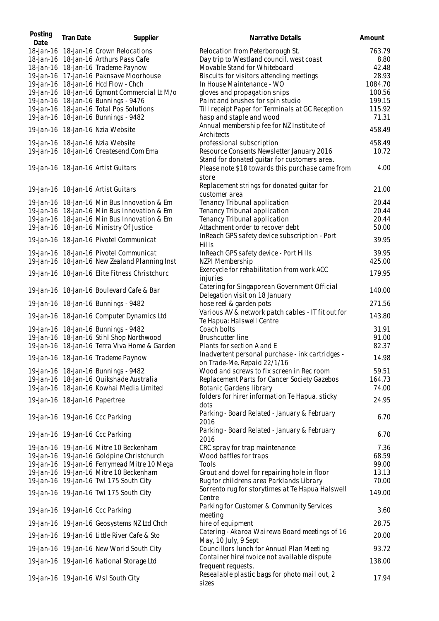| Posting<br>Date | <b>Tran Date</b>              | Supplier                                      | Narrative Details                                                                         | Amount  |
|-----------------|-------------------------------|-----------------------------------------------|-------------------------------------------------------------------------------------------|---------|
|                 |                               | 18-Jan-16 18-Jan-16 Crown Relocations         | Relocation from Peterborough St.                                                          | 763.79  |
|                 |                               | 18-Jan-16 18-Jan-16 Arthurs Pass Cafe         | Day trip to Westland council. west coast                                                  | 8.80    |
|                 |                               | 18-Jan-16 18-Jan-16 Trademe Paynow            | Movable Stand for Whiteboard                                                              | 42.48   |
|                 |                               | 19-Jan-16 17-Jan-16 Paknsave Moorhouse        | Biscuits for visitors attending meetings                                                  | 28.93   |
|                 |                               | 19-Jan-16 18-Jan-16 Hcd Flow - Chch           | In House Maintenance - WO                                                                 | 1084.70 |
|                 |                               | 19-Jan-16 18-Jan-16 Egmont Commercial Lt M/o  | gloves and propagation snips                                                              | 100.56  |
|                 |                               | 19-Jan-16 18-Jan-16 Bunnings - 9476           | Paint and brushes for spin studio                                                         | 199.15  |
|                 |                               | 19-Jan-16 18-Jan-16 Total Pos Solutions       | Till receipt Paper for Terminals at GC Reception                                          | 115.92  |
|                 |                               | 19-Jan-16 18-Jan-16 Bunnings - 9482           | hasp and staple and wood                                                                  | 71.31   |
|                 |                               | 19-Jan-16 18-Jan-16 Nzia Website              | Annual membership fee for NZ Institute of<br>Architects                                   | 458.49  |
|                 |                               | 19-Jan-16 18-Jan-16 Nzia Website              | professional subscription                                                                 | 458.49  |
|                 |                               | 19-Jan-16 18-Jan-16 Createsend.Com Ema        | Resource Consents Newsletter January 2016<br>Stand for donated guitar for customers area. | 10.72   |
|                 |                               | 19-Jan-16 18-Jan-16 Artist Guitars            | Please note \$18 towards this purchase came from<br>store                                 | 4.00    |
|                 |                               | 19-Jan-16 18-Jan-16 Artist Guitars            | Replacement strings for donated guitar for<br>customer area                               | 21.00   |
|                 |                               | 19-Jan-16 18-Jan-16 Min Bus Innovation & Em   | Tenancy Tribunal application                                                              | 20.44   |
|                 |                               | 19-Jan-16 18-Jan-16 Min Bus Innovation & Em   | Tenancy Tribunal application                                                              | 20.44   |
|                 |                               | 19-Jan-16 18-Jan-16 Min Bus Innovation & Em   | Tenancy Tribunal application                                                              | 20.44   |
|                 |                               | 19-Jan-16 18-Jan-16 Ministry Of Justice       | Attachment order to recover debt                                                          | 50.00   |
|                 |                               |                                               | InReach GPS safety device subscription - Port                                             |         |
|                 |                               | 19-Jan-16 18-Jan-16 Pivotel Communicat        | Hills                                                                                     | 39.95   |
|                 |                               | 19-Jan-16 18-Jan-16 Pivotel Communicat        | InReach GPS safety device - Port Hills                                                    | 39.95   |
|                 |                               | 19-Jan-16 18-Jan-16 New Zealand Planning Inst | NZPI Membership                                                                           | 425.00  |
|                 |                               | 19-Jan-16 18-Jan-16 Elite Fitness Christchurc | Exercycle for rehabilitation from work ACC<br>injuries                                    | 179.95  |
|                 |                               | 19-Jan-16 18-Jan-16 Boulevard Cafe & Bar      | Catering for Singaporean Government Official<br>Delegation visit on 18 January            | 140.00  |
|                 |                               | 19-Jan-16 18-Jan-16 Bunnings - 9482           | hose reel & garden pots                                                                   | 271.56  |
|                 |                               | 19-Jan-16 18-Jan-16 Computer Dynamics Ltd     | Various AV & network patch cables - IT fit out for<br>Te Hapua: Halswell Centre           | 143.80  |
|                 |                               | 19-Jan-16 18-Jan-16 Bunnings - 9482           | Coach bolts                                                                               | 31.91   |
|                 |                               | 19-Jan-16 18-Jan-16 Stihl Shop Northwood      | <b>Brushcutter line</b>                                                                   | 91.00   |
|                 |                               | 19-Jan-16 18-Jan-16 Terra Viva Home & Garden  | Plants for section A and E                                                                | 82.37   |
|                 |                               |                                               | Inadvertent personal purchase - ink cartridges -                                          |         |
|                 |                               | 19-Jan-16 18-Jan-16 Trademe Paynow            | on Trade-Me. Repaid 22/1/16                                                               | 14.98   |
|                 |                               | 19-Jan-16 18-Jan-16 Bunnings - 9482           | Wood and screws to fix screen in Rec room                                                 | 59.51   |
|                 |                               | 19-Jan-16 18-Jan-16 Quikshade Australia       | Replacement Parts for Cancer Society Gazebos                                              | 164.73  |
|                 |                               | 19-Jan-16 18-Jan-16 Kowhai Media Limited      | Botanic Gardens library                                                                   | 74.00   |
|                 | 19-Jan-16 18-Jan-16 Papertree |                                               | folders for hirer information Te Hapua. sticky<br>dots                                    | 24.95   |
|                 |                               |                                               | Parking - Board Related - January & February                                              | 6.70    |
|                 |                               | 19-Jan-16 19-Jan-16 Ccc Parking               | 2016                                                                                      |         |
|                 |                               | 19-Jan-16 19-Jan-16 Ccc Parking               | Parking - Board Related - January & February<br>2016                                      | 6.70    |
|                 |                               | 19-Jan-16 19-Jan-16 Mitre 10 Beckenham        | CRC spray for trap maintenance                                                            | 7.36    |
|                 |                               | 19-Jan-16 19-Jan-16 Goldpine Christchurch     | Wood baffles for traps                                                                    | 68.59   |
|                 |                               | 19-Jan-16 19-Jan-16 Ferrymead Mitre 10 Mega   | Tools                                                                                     | 99.00   |
|                 |                               | 19-Jan-16 19-Jan-16 Mitre 10 Beckenham        | Grout and dowel for repairing hole in floor                                               | 13.13   |
|                 |                               | 19-Jan-16 19-Jan-16 Twl 175 South City        | Rug for childrens area Parklands Library                                                  | 70.00   |
|                 |                               | 19-Jan-16 19-Jan-16 Twl 175 South City        | Sorrento rug for storytimes at Te Hapua Halswell<br>Centre                                | 149.00  |
|                 |                               | 19-Jan-16 19-Jan-16 Ccc Parking               | Parking for Customer & Community Services                                                 | 3.60    |
|                 |                               | 19-Jan-16 19-Jan-16 Geosystems NZ Ltd Chch    | meeting<br>hire of equipment                                                              | 28.75   |
|                 |                               |                                               | Catering - Akaroa Wairewa Board meetings of 16                                            | 20.00   |
|                 |                               | 19-Jan-16 19-Jan-16 Little River Cafe & Sto   | May, 10 July, 9 Sept                                                                      |         |
|                 |                               | 19-Jan-16 19-Jan-16 New World South City      | Councillors lunch for Annual Plan Meeting<br>Container hireinvoice not available dispute  | 93.72   |
|                 |                               | 19-Jan-16 19-Jan-16 National Storage Ltd      | frequent requests.                                                                        | 138.00  |
|                 |                               | 19-Jan-16 19-Jan-16 Wsl South City            | Resealable plastic bags for photo mail out, 2<br>sizes                                    | 17.94   |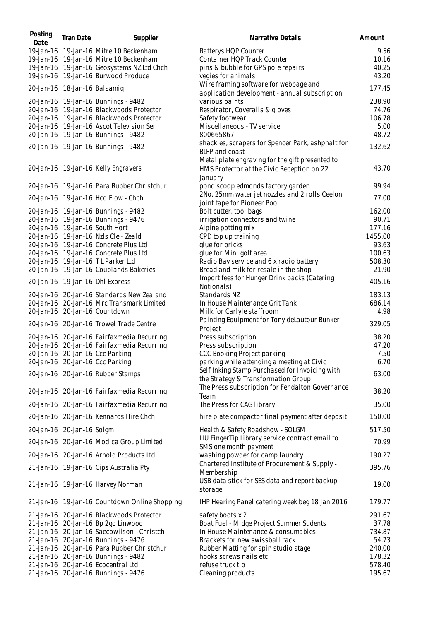| Posting<br>Date              | <b>Tran Date</b> | Supplier                                      | Narrative Details                                                                                        | Amount  |
|------------------------------|------------------|-----------------------------------------------|----------------------------------------------------------------------------------------------------------|---------|
|                              |                  | 19-Jan-16 19-Jan-16 Mitre 10 Beckenham        | Batterys HQP Counter                                                                                     | 9.56    |
|                              |                  | 19-Jan-16 19-Jan-16 Mitre 10 Beckenham        | Container HQP Track Counter                                                                              | 10.16   |
|                              |                  | 19-Jan-16 19-Jan-16 Geosystems NZ Ltd Chch    | pins & bubble for GPS pole repairs                                                                       | 40.25   |
|                              |                  | 19-Jan-16 19-Jan-16 Burwood Produce           | vegies for animals                                                                                       | 43.20   |
| 20-Jan-16 18-Jan-16 Balsamiq |                  |                                               | Wire framing software for webpage and                                                                    | 177.45  |
|                              |                  |                                               | application development - annual subscription                                                            |         |
|                              |                  | 20-Jan-16 19-Jan-16 Bunnings - 9482           | various paints                                                                                           | 238.90  |
|                              |                  | 20-Jan-16 19-Jan-16 Blackwoods Protector      | Respirator, Coveralls & gloves                                                                           | 74.76   |
|                              |                  | 20-Jan-16 19-Jan-16 Blackwoods Protector      | Safety footwear                                                                                          | 106.78  |
|                              |                  | 20-Jan-16 19-Jan-16 Ascot Television Ser      | Miscellaneous - TV service                                                                               | 5.00    |
|                              |                  | 20-Jan-16 19-Jan-16 Bunnings - 9482           | 800665867                                                                                                | 48.72   |
|                              |                  | 20-Jan-16 19-Jan-16 Bunnings - 9482           | shackles, scrapers for Spencer Park, ashphalt for<br><b>BLFP</b> and coast                               | 132.62  |
|                              |                  | 20-Jan-16 19-Jan-16 Kelly Engravers           | Metal plate engraving for the gift presented to<br>HMS Protector at the Civic Reception on 22<br>January | 43.70   |
|                              |                  | 20-Jan-16 19-Jan-16 Para Rubber Christchur    | pond scoop edmonds factory garden                                                                        | 99.94   |
|                              |                  | 20-Jan-16 19-Jan-16 Hcd Flow - Chch           | 2No. 25mm water jet nozzles and 2 rolls Ceelon<br>joint tape for Pioneer Pool                            | 77.00   |
|                              |                  | 20-Jan-16 19-Jan-16 Bunnings - 9482           | Bolt cutter, tool bags                                                                                   | 162.00  |
|                              |                  | 20-Jan-16 19-Jan-16 Bunnings - 9476           | irrigation connectors and twine                                                                          | 90.71   |
|                              |                  | 20-Jan-16 19-Jan-16 South Hort                | Alpine potting mix                                                                                       | 177.16  |
|                              |                  | 20-Jan-16 19-Jan-16 Nzls Cle - Zeald          | CPD top up training                                                                                      | 1455.00 |
|                              |                  | 20-Jan-16 19-Jan-16 Concrete Plus Ltd         | glue for bricks                                                                                          | 93.63   |
|                              |                  | 20-Jan-16 19-Jan-16 Concrete Plus Ltd         | glue for Mini golf area                                                                                  | 100.63  |
|                              |                  | 20-Jan-16 19-Jan-16 TL Parker Ltd             | Radio Bay service and 6 x radio battery                                                                  | 508.30  |
|                              |                  | 20-Jan-16 19-Jan-16 Couplands Bakeries        | Bread and milk for resale in the shop                                                                    | 21.90   |
|                              |                  | 20-Jan-16 19-Jan-16 Dhl Express               | Import fees for Hunger Drink packs (Catering<br>Notionals)                                               | 405.16  |
|                              |                  | 20-Jan-16 20-Jan-16 Standards New Zealand     | Standards NZ                                                                                             | 183.13  |
|                              |                  | 20-Jan-16 20-Jan-16 Mrc Transmark Limited     | In House Maintenance Grit Tank                                                                           | 686.14  |
|                              |                  | 20-Jan-16 20-Jan-16 Countdown                 | Milk for Carlyle staffroom                                                                               | 4.98    |
|                              |                  | 20-Jan-16 20-Jan-16 Trowel Trade Centre       | Painting Equipment for Tony deLautour Bunker<br>Project                                                  | 329.05  |
|                              |                  | 20-Jan-16 20-Jan-16 Fairfaxmedia Recurring    | Press subscription                                                                                       | 38.20   |
|                              |                  | 20-Jan-16 20-Jan-16 Fairfaxmedia Recurring    | Press subscription                                                                                       | 47.20   |
|                              |                  | 20-Jan-16 20-Jan-16 Ccc Parking               | CCC Booking Project parking                                                                              | 7.50    |
|                              |                  | 20-Jan-16 20-Jan-16 Ccc Parking               | parking while attending a meeting at Civic                                                               | 6.70    |
|                              |                  |                                               | Self Inking Stamp Purchased for Invoicing with                                                           |         |
|                              |                  | 20-Jan-16 20-Jan-16 Rubber Stamps             | the Strategy & Transformation Group<br>The Press subscription for Fendalton Governance                   | 63.00   |
|                              |                  | 20-Jan-16 20-Jan-16 Fairfaxmedia Recurring    | Team                                                                                                     | 38.20   |
|                              |                  | 20-Jan-16 20-Jan-16 Fairfaxmedia Recurring    | The Press for CAG library                                                                                | 35.00   |
|                              |                  | 20-Jan-16 20-Jan-16 Kennards Hire Chch        | hire plate compactor final payment after deposit                                                         | 150.00  |
| 20-Jan-16 20-Jan-16 Solgm    |                  |                                               | Health & Safety Roadshow - SOLGM                                                                         | 517.50  |
|                              |                  | 20-Jan-16 20-Jan-16 Modica Group Limited      | LIU Finger Tip Library service contract email to<br>SMS one month payment                                | 70.99   |
|                              |                  | 20-Jan-16 20-Jan-16 Arnold Products Ltd       | washing powder for camp laundry                                                                          | 190.27  |
|                              |                  | 21-Jan-16 19-Jan-16 Cips Australia Pty        | Chartered Institute of Procurement & Supply -<br>Membership                                              | 395.76  |
|                              |                  | 21-Jan-16 19-Jan-16 Harvey Norman             | USB data stick for SES data and report backup<br>storage                                                 | 19.00   |
|                              |                  | 21-Jan-16 19-Jan-16 Countdown Online Shopping | IHP Hearing Panel catering week beg 18 Jan 2016                                                          | 179.77  |
|                              |                  | 21-Jan-16 20-Jan-16 Blackwoods Protector      | safety boots x 2                                                                                         | 291.67  |
|                              |                  | 21-Jan-16 20-Jan-16 Bp 2go Linwood            | Boat Fuel - Midge Project Summer Sudents                                                                 | 37.78   |
|                              |                  | 21-Jan-16 20-Jan-16 Saecowilson - Christch    | In House Maintenance & consumables                                                                       | 734.87  |
|                              |                  | 21-Jan-16 20-Jan-16 Bunnings - 9476           | Brackets for new swissball rack                                                                          | 54.73   |
|                              |                  | 21-Jan-16 20-Jan-16 Para Rubber Christchur    | Rubber Matting for spin studio stage                                                                     | 240.00  |
|                              |                  | 21-Jan-16 20-Jan-16 Bunnings - 9482           | hooks screws nails etc                                                                                   | 178.32  |
|                              |                  | 21-Jan-16 20-Jan-16 Ecocentral Ltd            | refuse truck tip                                                                                         | 578.40  |
|                              |                  | 21-Jan-16 20-Jan-16 Bunnings - 9476           | Cleaning products                                                                                        | 195.67  |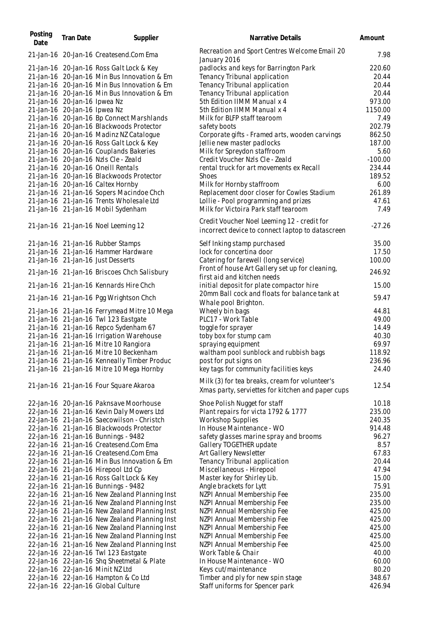| Posting<br>Date | <b>Tran Date</b>                                             | Supplier                                                                                                                                                                              | Narrative Details                                                                                                                     | Amount                            |
|-----------------|--------------------------------------------------------------|---------------------------------------------------------------------------------------------------------------------------------------------------------------------------------------|---------------------------------------------------------------------------------------------------------------------------------------|-----------------------------------|
|                 |                                                              | 21-Jan-16 20-Jan-16 Createsend.Com Ema                                                                                                                                                | Recreation and Sport Centres Welcome Email 20<br>January 2016                                                                         | 7.98                              |
|                 |                                                              | 21-Jan-16 20-Jan-16 Ross Galt Lock & Key<br>21-Jan-16 20-Jan-16 Min Bus Innovation & Em<br>21-Jan-16 20-Jan-16 Min Bus Innovation & Em<br>21-Jan-16 20-Jan-16 Min Bus Innovation & Em | padlocks and keys for Barrington Park<br>Tenancy Tribunal application<br>Tenancy Tribunal application<br>Tenancy Tribunal application | 220.60<br>20.44<br>20.44<br>20.44 |
|                 | 21-Jan-16 20-Jan-16 Ipwea Nz<br>21-Jan-16 20-Jan-16 Ipwea Nz | 21-Jan-16 20-Jan-16 Bp Connect Marshlands                                                                                                                                             | 5th Edition IIMM Manual x 4<br>5th Edition IIMM Manual x 4<br>Milk for BLFP staff tearoom                                             | 973.00<br>1150.00<br>7.49         |
|                 |                                                              | 21-Jan-16 20-Jan-16 Blackwoods Protector<br>21-Jan-16 20-Jan-16 Madinz NZ Catalogue<br>21-Jan-16 20-Jan-16 Ross Galt Lock & Key                                                       | safety boots<br>Corporate gifts - Framed arts, wooden carvings<br>Jellie new master padlocks                                          | 202.79<br>862.50<br>187.00        |
|                 |                                                              | 21-Jan-16 20-Jan-16 Couplands Bakeries<br>21-Jan-16 20-Jan-16 Nzls Cle - Zeald<br>21-Jan-16 20-Jan-16 Oneill Rentals                                                                  | Milk for Spreydon staffroom<br>Credit Voucher Nzls Cle - Zeald<br>rental truck for art movements ex Recall                            | 5.60<br>$-100.00$<br>234.44       |
|                 |                                                              | 21-Jan-16 20-Jan-16 Blackwoods Protector<br>21-Jan-16 20-Jan-16 Caltex Hornby<br>21-Jan-16 21-Jan-16 Sopers Macindoe Chch<br>21-Jan-16 21-Jan-16 Trents Wholesale Ltd                 | <b>Shoes</b><br>Milk for Hornby staffroom<br>Replacement door closer for Cowles Stadium<br>Lollie - Pool programming and prizes       | 189.52<br>6.00<br>261.89<br>47.61 |
|                 |                                                              | 21-Jan-16 21-Jan-16 Mobil Sydenham                                                                                                                                                    | Milk for Victoira Park staff tearoom                                                                                                  | 7.49                              |
|                 |                                                              | 21-Jan-16 21-Jan-16 Noel Leeming 12                                                                                                                                                   | Credit Voucher Noel Leeming 12 - credit for<br>incorrect device to connect laptop to datascreen                                       | $-27.26$                          |
|                 |                                                              | 21-Jan-16 21-Jan-16 Rubber Stamps                                                                                                                                                     | Self Inking stamp purchased                                                                                                           | 35.00                             |
|                 |                                                              | 21-Jan-16 21-Jan-16 Hammer Hardware                                                                                                                                                   | lock for concertina door                                                                                                              | 17.50                             |
|                 |                                                              | 21-Jan-16 21-Jan-16 Just Desserts<br>21-Jan-16 21-Jan-16 Briscoes Chch Salisbury                                                                                                      | Catering for farewell (long service)<br>Front of house Art Gallery set up for cleaning,<br>first aid and kitchen needs                | 100.00<br>246.92                  |
|                 |                                                              | 21-Jan-16 21-Jan-16 Kennards Hire Chch                                                                                                                                                | initial deposit for plate compactor hire                                                                                              | 15.00                             |
|                 |                                                              | 21-Jan-16 21-Jan-16 Pgg Wrightson Chch                                                                                                                                                | 20mm Ball cock and floats for balance tank at<br>Whale pool Brighton.                                                                 | 59.47                             |
|                 |                                                              | 21-Jan-16 21-Jan-16 Ferrymead Mitre 10 Mega                                                                                                                                           | Wheely bin bags                                                                                                                       | 44.81                             |
|                 |                                                              | 21-Jan-16 21-Jan-16 Twl 123 Eastgate                                                                                                                                                  | PLC17 - Work Table                                                                                                                    | 49.00                             |
|                 |                                                              | 21-Jan-16 21-Jan-16 Repco Sydenham 67                                                                                                                                                 | toggle for sprayer                                                                                                                    | 14.49                             |
|                 |                                                              | 21-Jan-16 21-Jan-16 Irrigation Warehouse                                                                                                                                              | toby box for stump cam                                                                                                                | 40.30                             |
|                 |                                                              | 21-Jan-16 21-Jan-16 Mitre 10 Rangiora<br>21-Jan-16 21-Jan-16 Mitre 10 Beckenham                                                                                                       | spraying equipment                                                                                                                    | 69.97<br>118.92                   |
|                 |                                                              | 21-Jan-16 21-Jan-16 Kenneally Timber Produc                                                                                                                                           | waltham pool sunblock and rubbish bags<br>post for put signs on                                                                       | 236.96                            |
|                 |                                                              | 21-Jan-16 21-Jan-16 Mitre 10 Mega Hornby                                                                                                                                              | key tags for community facilities keys                                                                                                | 24.40                             |
|                 |                                                              | 21-Jan-16 21-Jan-16 Four Square Akaroa                                                                                                                                                | Milk (3) for tea breaks, cream for volunteer's<br>Xmas party, serviettes for kitchen and paper cups                                   | 12.54                             |
|                 |                                                              | 22-Jan-16 20-Jan-16 Paknsave Moorhouse                                                                                                                                                | Shoe Polish Nugget for staff                                                                                                          | 10.18                             |
|                 |                                                              | 22-Jan-16 21-Jan-16 Kevin Daly Mowers Ltd                                                                                                                                             | Plant repairs for victa 1792 & 1777                                                                                                   | 235.00                            |
|                 |                                                              | 22-Jan-16 21-Jan-16 Saecowilson - Christch                                                                                                                                            | <b>Workshop Supplies</b>                                                                                                              | 240.35                            |
|                 |                                                              | 22-Jan-16 21-Jan-16 Blackwoods Protector                                                                                                                                              | In House Maintenance - WO                                                                                                             | 914.48                            |
|                 |                                                              | 22-Jan-16 21-Jan-16 Bunnings - 9482<br>22-Jan-16 21-Jan-16 Createsend.Com Ema                                                                                                         | safety glasses marine spray and brooms                                                                                                | 96.27<br>8.57                     |
|                 |                                                              | 22-Jan-16 21-Jan-16 Createsend.Com Ema                                                                                                                                                | Gallery TOGETHER update<br>Art Gallery Newsletter                                                                                     | 67.83                             |
|                 |                                                              | 22-Jan-16 21-Jan-16 Min Bus Innovation & Em                                                                                                                                           | Tenancy Tribunal application                                                                                                          | 20.44                             |
|                 |                                                              | 22-Jan-16 21-Jan-16 Hirepool Ltd Cp                                                                                                                                                   | Miscellaneous - Hirepool                                                                                                              | 47.94                             |
|                 |                                                              | 22-Jan-16 21-Jan-16 Ross Galt Lock & Key                                                                                                                                              | Master key for Shirley Lib.                                                                                                           | 15.00                             |
|                 |                                                              | 22-Jan-16 21-Jan-16 Bunnings - 9482                                                                                                                                                   | Angle brackets for Lytt                                                                                                               | 75.91                             |
|                 |                                                              | 22-Jan-16 21-Jan-16 New Zealand Planning Inst                                                                                                                                         | NZPI Annual Membership Fee                                                                                                            | 235.00                            |
|                 |                                                              | 22-Jan-16 21-Jan-16 New Zealand Planning Inst                                                                                                                                         | NZPI Annual Membership Fee                                                                                                            | 235.00                            |
|                 |                                                              | 22-Jan-16 21-Jan-16 New Zealand Planning Inst                                                                                                                                         | NZPI Annual Membership Fee                                                                                                            | 425.00                            |
|                 |                                                              | 22-Jan-16 21-Jan-16 New Zealand Planning Inst                                                                                                                                         | NZPI Annual Membership Fee                                                                                                            | 425.00                            |
|                 |                                                              | 22-Jan-16 21-Jan-16 New Zealand Planning Inst                                                                                                                                         | NZPI Annual Membership Fee                                                                                                            | 425.00                            |
|                 |                                                              | 22-Jan-16 21-Jan-16 New Zealand Planning Inst                                                                                                                                         | NZPI Annual Membership Fee                                                                                                            | 425.00                            |
|                 |                                                              | 22-Jan-16 21-Jan-16 New Zealand Planning Inst                                                                                                                                         | NZPI Annual Membership Fee                                                                                                            | 425.00                            |
|                 |                                                              | 22-Jan-16 22-Jan-16 Twl 123 Eastgate                                                                                                                                                  | Work Table & Chair                                                                                                                    | 40.00                             |
|                 |                                                              | 22-Jan-16 22-Jan-16 Shq Sheetmetal & Plate                                                                                                                                            | In House Maintenance - WO                                                                                                             | 60.00                             |
|                 |                                                              | 22-Jan-16 22-Jan-16 Minit NZ Ltd                                                                                                                                                      | Keys cut/maintenance                                                                                                                  | 80.20                             |
|                 |                                                              | 22-Jan-16 22-Jan-16 Hampton & Co Ltd<br>22-Jan-16 22-Jan-16 Global Culture                                                                                                            | Timber and ply for new spin stage<br>Staff uniforms for Spencer park                                                                  | 348.67<br>426.94                  |
|                 |                                                              |                                                                                                                                                                                       |                                                                                                                                       |                                   |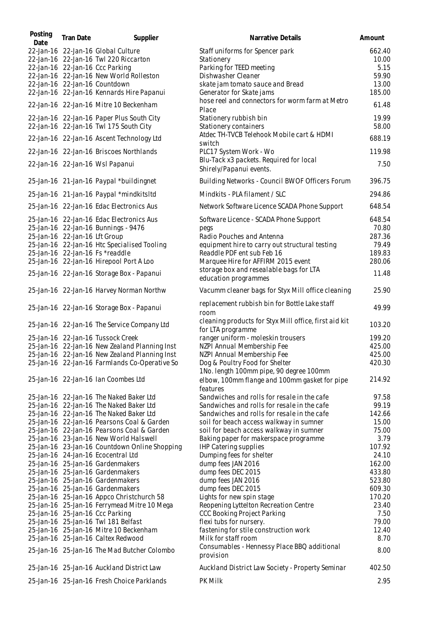| Posting<br>Date | <b>Tran Date</b>              | Supplier                                                                            | Narrative Details                                                          | Amount         |
|-----------------|-------------------------------|-------------------------------------------------------------------------------------|----------------------------------------------------------------------------|----------------|
|                 |                               | 22-Jan-16 22-Jan-16 Global Culture                                                  | Staff uniforms for Spencer park                                            | 662.40         |
|                 |                               | 22-Jan-16 22-Jan-16 Twl 220 Riccarton                                               | Stationery                                                                 | 10.00          |
|                 |                               | 22-Jan-16 22-Jan-16 Ccc Parking                                                     | Parking for TEED meeting                                                   | 5.15           |
|                 |                               | 22-Jan-16 22-Jan-16 New World Rolleston                                             | Dishwasher Cleaner                                                         | 59.90          |
|                 |                               | 22-Jan-16 22-Jan-16 Countdown                                                       | skate jam tomato sauce and Bread                                           | 13.00          |
|                 |                               | 22-Jan-16 22-Jan-16 Kennards Hire Papanui                                           | Generator for Skate jams                                                   | 185.00         |
|                 |                               | 22-Jan-16 22-Jan-16 Mitre 10 Beckenham                                              | hose reel and connectors for worm farm at Metro<br>Place                   | 61.48          |
|                 |                               | 22-Jan-16 22-Jan-16 Paper Plus South City<br>22-Jan-16 22-Jan-16 Twl 175 South City | Stationery rubbish bin<br>Stationery containers                            | 19.99<br>58.00 |
|                 |                               | 22-Jan-16 22-Jan-16 Ascent Technology Ltd                                           | Atdec TH-TVCB Telehook Mobile cart & HDMI                                  | 688.19         |
|                 |                               | 22-Jan-16 22-Jan-16 Briscoes Northlands                                             | switch<br>PLC17 System Work - Wo                                           | 119.98         |
|                 |                               | 22-Jan-16 22-Jan-16 Wsl Papanui                                                     | Blu-Tack x3 packets. Required for local<br>Shirely/Papanui events.         | 7.50           |
|                 |                               | 25-Jan-16 21-Jan-16 Paypal *buildingnet                                             | Building Networks - Council BWOF Officers Forum                            | 396.75         |
|                 |                               | 25-Jan-16 21-Jan-16 Paypal *mindkitsItd                                             | Mindkits - PLA filament / SLC                                              | 294.86         |
|                 |                               | 25-Jan-16 22-Jan-16 Edac Electronics Aus                                            | Network Software Licence SCADA Phone Support                               | 648.54         |
|                 |                               | 25-Jan-16 22-Jan-16 Edac Electronics Aus                                            | Software Licence - SCADA Phone Support                                     | 648.54         |
|                 |                               | 25-Jan-16 22-Jan-16 Bunnings - 9476                                                 | pegs                                                                       | 70.80          |
|                 | 25-Jan-16 22-Jan-16 Lft Group |                                                                                     | Radio Pouches and Antenna                                                  | 287.36         |
|                 |                               | 25-Jan-16 22-Jan-16 Htc Specialised Tooling                                         | equipment hire to carry out structural testing                             | 79.49          |
|                 |                               | 25-Jan-16 22-Jan-16 Fs *readdle                                                     | Readdle PDF ent sub Feb 16                                                 | 189.83         |
|                 |                               | 25-Jan-16 22-Jan-16 Hirepool Port A Loo                                             | Marquee Hire for AFFIRM 2015 event                                         | 280.06         |
|                 |                               | 25-Jan-16 22-Jan-16 Storage Box - Papanui                                           | storage box and resealable bags for LTA<br>education programmes            | 11.48          |
|                 |                               | 25-Jan-16 22-Jan-16 Harvey Norman Northw                                            | Vacumm cleaner bags for Styx Mill office cleaning                          | 25.90          |
|                 |                               | 25-Jan-16 22-Jan-16 Storage Box - Papanui                                           | replacement rubbish bin for Bottle Lake staff<br>room                      | 49.99          |
|                 |                               | 25-Jan-16 22-Jan-16 The Service Company Ltd                                         | cleaning products for Styx Mill office, first aid kit<br>for LTA programme | 103.20         |
|                 |                               | 25-Jan-16 22-Jan-16 Tussock Creek                                                   | ranger uniform - moleskin trousers                                         | 199.20         |
|                 |                               | 25-Jan-16 22-Jan-16 New Zealand Planning Inst                                       | NZPI Annual Membership Fee                                                 | 425.00         |
|                 |                               | 25-Jan-16 22-Jan-16 New Zealand Planning Inst                                       | NZPI Annual Membership Fee                                                 | 425.00         |
|                 |                               | 25-Jan-16 22-Jan-16 Farmlands Co-Operative So                                       | Dog & Poultry Food for Shelter                                             | 420.30         |
|                 |                               | 25-Jan-16 22-Jan-16 Ian Coombes Ltd                                                 | 1No. length 100mm pipe, 90 degree 100mm                                    | 214.92         |
|                 |                               |                                                                                     | elbow, 100mm flange and 100mm gasket for pipe<br>features                  |                |
|                 |                               | 25-Jan-16 22-Jan-16 The Naked Baker Ltd                                             | Sandwiches and rolls for resale in the cafe                                | 97.58          |
|                 |                               | 25-Jan-16 22-Jan-16 The Naked Baker Ltd                                             | Sandwiches and rolls for resale in the cafe                                | 99.19          |
|                 |                               | 25-Jan-16 22-Jan-16 The Naked Baker Ltd                                             | Sandwiches and rolls for resale in the cafe                                | 142.66         |
|                 |                               | 25-Jan-16 22-Jan-16 Pearsons Coal & Garden                                          | soil for beach access walkway in sumner                                    | 15.00          |
|                 |                               | 25-Jan-16 22-Jan-16 Pearsons Coal & Garden                                          | soil for beach access walkway in sumner                                    | 75.00          |
|                 |                               | 25-Jan-16 23-Jan-16 New World Halswell                                              | Baking paper for makerspace programme                                      | 3.79           |
|                 |                               | 25-Jan-16 23-Jan-16 Countdown Online Shopping                                       | <b>IHP Catering supplies</b>                                               | 107.92         |
|                 |                               | 25-Jan-16 24-Jan-16 Ecocentral Ltd                                                  | Dumping fees for shelter                                                   | 24.10          |
|                 |                               | 25-Jan-16 25-Jan-16 Gardenmakers                                                    | dump fees JAN 2016                                                         | 162.00         |
|                 |                               | 25-Jan-16 25-Jan-16 Gardenmakers                                                    | dump fees DEC 2015                                                         | 433.80         |
|                 |                               | 25-Jan-16 25-Jan-16 Gardenmakers                                                    | dump fees JAN 2016                                                         | 523.80         |
|                 |                               | 25-Jan-16 25-Jan-16 Gardenmakers                                                    | dump fees DEC 2015                                                         | 609.30         |
|                 |                               | 25-Jan-16 25-Jan-16 Appco Christchurch 58                                           | Lights for new spin stage                                                  | 170.20         |
|                 |                               | 25-Jan-16 25-Jan-16 Ferrymead Mitre 10 Mega                                         | Reopening Lyttelton Recreation Centre                                      | 23.40          |
|                 |                               | 25-Jan-16 25-Jan-16 Ccc Parking                                                     | CCC Booking Project Parking                                                | 7.50           |
|                 |                               | 25-Jan-16 25-Jan-16 Twl 181 Belfast                                                 | flexi tubs for nursery.                                                    | 79.00<br>12.40 |
|                 |                               | 25-Jan-16 25-Jan-16 Mitre 10 Beckenham<br>25-Jan-16 25-Jan-16 Caltex Redwood        | fastening for stile construction work<br>Milk for staff room               | 8.70           |
|                 |                               | 25-Jan-16 25-Jan-16 The Mad Butcher Colombo                                         | Consumables - Hennessy Place BBQ additional<br>provision                   | 8.00           |
|                 |                               | 25-Jan-16 25-Jan-16 Auckland District Law                                           | Auckland District Law Society - Property Seminar                           | 402.50         |
|                 |                               | 25-Jan-16 25-Jan-16 Fresh Choice Parklands                                          | PK Milk                                                                    | 2.95           |
|                 |                               |                                                                                     |                                                                            |                |